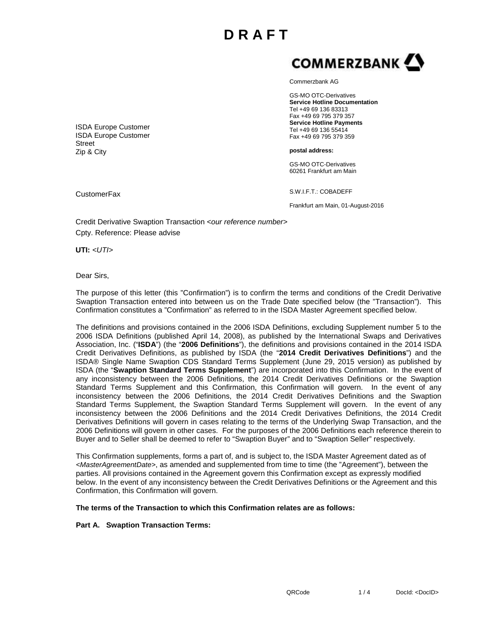# **COMMERZBANK**

Commerzbank AG

GS-MO OTC-Derivatives **Service Hotline Documentation**  Tel +49 69 136 83313 Fax +49 69 795 379 357 **Service Hotline Payments**  Tel +49 69 136 55414 Fax +49 69 795 379 359

**postal address:** 

GS-MO OTC-Derivatives 60261 Frankfurt am Main

CustomerFax

Street Zip & City

ISDA Europe Customer ISDA Europe Customer

S.W.I.F.T.: COBADEFF

Frankfurt am Main, 01-August-2016

Credit Derivative Swaption Transaction <our reference number> Cpty. Reference: Please advise

**UTI:** <UTI>

Dear Sirs,

The purpose of this letter (this "Confirmation") is to confirm the terms and conditions of the Credit Derivative Swaption Transaction entered into between us on the Trade Date specified below (the "Transaction"). This Confirmation constitutes a "Confirmation" as referred to in the ISDA Master Agreement specified below.

The definitions and provisions contained in the 2006 ISDA Definitions, excluding Supplement number 5 to the 2006 ISDA Definitions (published April 14, 2008), as published by the International Swaps and Derivatives Association, Inc. ("**ISDA**") (the "**2006 Definitions**"), the definitions and provisions contained in the 2014 ISDA Credit Derivatives Definitions, as published by ISDA (the "**2014 Credit Derivatives Definitions**") and the ISDA® Single Name Swaption CDS Standard Terms Supplement (June 29, 2015 version) as published by ISDA (the "**Swaption Standard Terms Supplement**") are incorporated into this Confirmation. In the event of any inconsistency between the 2006 Definitions, the 2014 Credit Derivatives Definitions or the Swaption Standard Terms Supplement and this Confirmation, this Confirmation will govern. In the event of any inconsistency between the 2006 Definitions, the 2014 Credit Derivatives Definitions and the Swaption Standard Terms Supplement, the Swaption Standard Terms Supplement will govern. In the event of any inconsistency between the 2006 Definitions and the 2014 Credit Derivatives Definitions, the 2014 Credit Derivatives Definitions will govern in cases relating to the terms of the Underlying Swap Transaction, and the 2006 Definitions will govern in other cases. For the purposes of the 2006 Definitions each reference therein to Buyer and to Seller shall be deemed to refer to "Swaption Buyer" and to "Swaption Seller" respectively.

This Confirmation supplements, forms a part of, and is subject to, the ISDA Master Agreement dated as of <MasterAgreementDate>, as amended and supplemented from time to time (the "Agreement"), between the parties. All provisions contained in the Agreement govern this Confirmation except as expressly modified below. In the event of any inconsistency between the Credit Derivatives Definitions or the Agreement and this Confirmation, this Confirmation will govern.

#### **The terms of the Transaction to which this Confirmation relates are as follows:**

#### **Part A. Swaption Transaction Terms:**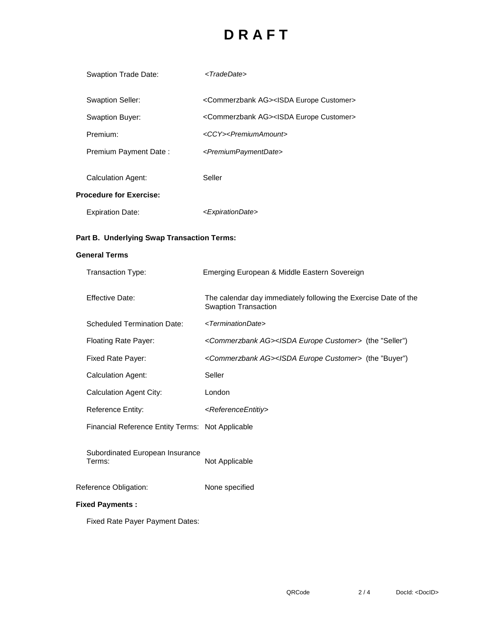| <b>Swaption Seller:</b>        | <commerzbank ag=""><isda customer="" europe=""></isda></commerzbank> |  |
|--------------------------------|----------------------------------------------------------------------|--|
| Swaption Buyer:                | <commerzbank ag=""><isda customer="" europe=""></isda></commerzbank> |  |
| Premium:                       | <ccy><premiumamount></premiumamount></ccy>                           |  |
| Premium Payment Date:          | <premiumpaymentdate></premiumpaymentdate>                            |  |
| Calculation Agent:             | Seller                                                               |  |
| <b>Procedure for Exercise:</b> |                                                                      |  |
|                                |                                                                      |  |

Expiration Date: <ExpirationDate>

Swaption Trade Date: <TradeDate>

#### **Part B. Underlying Swap Transaction Terms:**

#### **General Terms**

| Transaction Type:                                | Emerging European & Middle Eastern Sovereign                                                   |  |  |
|--------------------------------------------------|------------------------------------------------------------------------------------------------|--|--|
| <b>Effective Date:</b>                           | The calendar day immediately following the Exercise Date of the<br><b>Swaption Transaction</b> |  |  |
| <b>Scheduled Termination Date:</b>               | <terminationdate></terminationdate>                                                            |  |  |
| <b>Floating Rate Payer:</b>                      | <commerzbank ag=""><isda customer="" europe=""> (the "Seller")</isda></commerzbank>            |  |  |
| Fixed Rate Payer:                                | <commerzbank ag=""><isda customer="" europe=""> (the "Buyer")</isda></commerzbank>             |  |  |
| <b>Calculation Agent:</b>                        | Seller                                                                                         |  |  |
| <b>Calculation Agent City:</b>                   | London                                                                                         |  |  |
| Reference Entity:                                | <referenceentitiy></referenceentitiy>                                                          |  |  |
| Financial Reference Entity Terms: Not Applicable |                                                                                                |  |  |
| Subordinated European Insurance<br>Terms:        | Not Applicable                                                                                 |  |  |
| Reference Obligation:                            | None specified                                                                                 |  |  |
| <b>Fixed Payments:</b>                           |                                                                                                |  |  |

Fixed Rate Payer Payment Dates: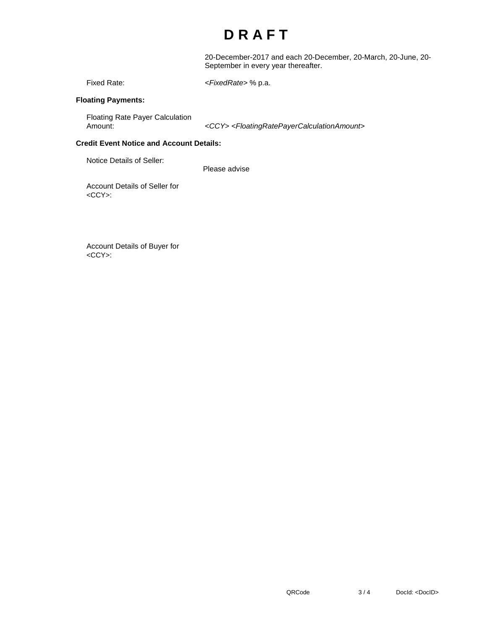20-December-2017 and each 20-December, 20-March, 20-June, 20- September in every year thereafter.

Fixed Rate:  $\leq$  Fixed Rate > % p.a.

#### **Floating Payments:**

Floating Rate Payer Calculation

Amount: <CCY><FloatingRatePayerCalculationAmount>

#### **Credit Event Notice and Account Details:**

Notice Details of Seller:

Please advise

Account Details of Seller for <CCY>:

Account Details of Buyer for <CCY>: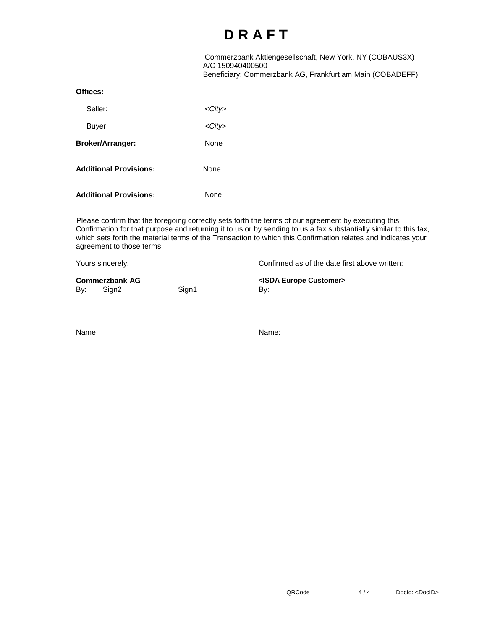Commerzbank Aktiengesellschaft, New York, NY (COBAUS3X) A/C 150940400500 Beneficiary: Commerzbank AG, Frankfurt am Main (COBADEFF)

#### **Offices:**

| Seller:                       | <city></city> |
|-------------------------------|---------------|
| Buyer:                        | <city></city> |
| <b>Broker/Arranger:</b>       | None          |
| <b>Additional Provisions:</b> | None          |
| <b>Additional Provisions:</b> | None          |

Please confirm that the foregoing correctly sets forth the terms of our agreement by executing this Confirmation for that purpose and returning it to us or by sending to us a fax substantially similar to this fax, which sets forth the material terms of the Transaction to which this Confirmation relates and indicates your agreement to those terms.

Yours sincerely, The Confirmed as of the date first above written: **Commerzbank AG <ISDA Europe Customer>** By: Sign2

Name Name: Name: Name: Name: Name: Name: Name: Name: Name: Name: Name: Name: Name: Name: Name: Name: Name: Name: Name: Name: Name: Name:  $N$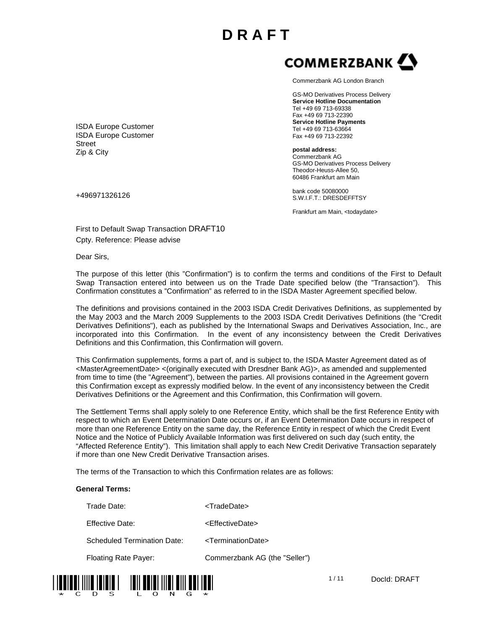

Commerzbank AG London Branch

GS-MO Derivatives Process Delivery **Service Hotline Documentation**  Tel +49 69 713-69338 Fax +49 69 713-22390 **Service Hotline Payments**  Tel +49 69 713-63664 Fax +49 69 713-22392

**postal address:** 

Commerzbank AG GS-MO Derivatives Process Delivery Theodor-Heuss-Allee 50, 60486 Frankfurt am Main

bank code 50080000 S.W.I.F.T.: DRESDEFFTSY

Frankfurt am Main, <todaydate>

ISDA Europe Customer ISDA Europe Customer Street Zip & City

First to Default Swap Transaction DRAFT10 Cpty. Reference: Please advise

Dear Sirs,

+496971326126

The purpose of this letter (this "Confirmation") is to confirm the terms and conditions of the First to Default Swap Transaction entered into between us on the Trade Date specified below (the "Transaction"). This Confirmation constitutes a "Confirmation" as referred to in the ISDA Master Agreement specified below.

The definitions and provisions contained in the 2003 ISDA Credit Derivatives Definitions, as supplemented by the May 2003 and the March 2009 Supplements to the 2003 ISDA Credit Derivatives Definitions (the "Credit Derivatives Definitions"), each as published by the International Swaps and Derivatives Association, Inc., are incorporated into this Confirmation. In the event of any inconsistency between the Credit Derivatives Definitions and this Confirmation, this Confirmation will govern.

This Confirmation supplements, forms a part of, and is subject to, the ISDA Master Agreement dated as of <MasterAgreementDate> <(originally executed with Dresdner Bank AG)>, as amended and supplemented from time to time (the "Agreement"), between the parties. All provisions contained in the Agreement govern this Confirmation except as expressly modified below. In the event of any inconsistency between the Credit Derivatives Definitions or the Agreement and this Confirmation, this Confirmation will govern.

The Settlement Terms shall apply solely to one Reference Entity, which shall be the first Reference Entity with respect to which an Event Determination Date occurs or, if an Event Determination Date occurs in respect of more than one Reference Entity on the same day, the Reference Entity in respect of which the Credit Event Notice and the Notice of Publicly Available Information was first delivered on such day (such entity, the "Affected Reference Entity"). This limitation shall apply to each New Credit Derivative Transaction separately if more than one New Credit Derivative Transaction arises.

The terms of the Transaction to which this Confirmation relates are as follows:

#### **General Terms:**

| Trade Date:                 | <tradedate></tradedate>             |
|-----------------------------|-------------------------------------|
| Effective Date:             | <effectivedate></effectivedate>     |
| Scheduled Termination Date: | <terminationdate></terminationdate> |
| Floating Rate Payer:        | Commerzbank AG (the "Seller")       |

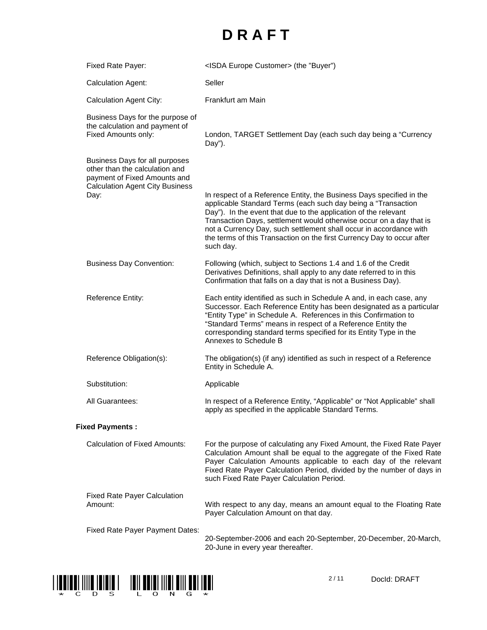| Fixed Rate Payer:                                                                                                                                  | <isda customer="" europe=""> (the "Buyer")</isda>                                                                                                                                                                                                                                                                                                                                                                                            |  |
|----------------------------------------------------------------------------------------------------------------------------------------------------|----------------------------------------------------------------------------------------------------------------------------------------------------------------------------------------------------------------------------------------------------------------------------------------------------------------------------------------------------------------------------------------------------------------------------------------------|--|
| <b>Calculation Agent:</b>                                                                                                                          | Seller                                                                                                                                                                                                                                                                                                                                                                                                                                       |  |
| <b>Calculation Agent City:</b>                                                                                                                     | Frankfurt am Main                                                                                                                                                                                                                                                                                                                                                                                                                            |  |
| Business Days for the purpose of<br>the calculation and payment of<br>Fixed Amounts only:                                                          | London, TARGET Settlement Day (each such day being a "Currency<br>Day").                                                                                                                                                                                                                                                                                                                                                                     |  |
| Business Days for all purposes<br>other than the calculation and<br>payment of Fixed Amounts and<br><b>Calculation Agent City Business</b><br>Day: | In respect of a Reference Entity, the Business Days specified in the<br>applicable Standard Terms (each such day being a "Transaction<br>Day"). In the event that due to the application of the relevant<br>Transaction Days, settlement would otherwise occur on a day that is<br>not a Currency Day, such settlement shall occur in accordance with<br>the terms of this Transaction on the first Currency Day to occur after<br>such day. |  |
| <b>Business Day Convention:</b>                                                                                                                    | Following (which, subject to Sections 1.4 and 1.6 of the Credit<br>Derivatives Definitions, shall apply to any date referred to in this<br>Confirmation that falls on a day that is not a Business Day).                                                                                                                                                                                                                                     |  |
| Reference Entity:                                                                                                                                  | Each entity identified as such in Schedule A and, in each case, any<br>Successor. Each Reference Entity has been designated as a particular<br>"Entity Type" in Schedule A. References in this Confirmation to<br>"Standard Terms" means in respect of a Reference Entity the<br>corresponding standard terms specified for its Entity Type in the<br>Annexes to Schedule B                                                                  |  |
| Reference Obligation(s):                                                                                                                           | The obligation(s) (if any) identified as such in respect of a Reference<br>Entity in Schedule A.                                                                                                                                                                                                                                                                                                                                             |  |
| Substitution:                                                                                                                                      | Applicable                                                                                                                                                                                                                                                                                                                                                                                                                                   |  |
| All Guarantees:                                                                                                                                    | In respect of a Reference Entity, "Applicable" or "Not Applicable" shall<br>apply as specified in the applicable Standard Terms.                                                                                                                                                                                                                                                                                                             |  |
| <b>Fixed Payments:</b>                                                                                                                             |                                                                                                                                                                                                                                                                                                                                                                                                                                              |  |
| <b>Calculation of Fixed Amounts:</b>                                                                                                               | For the purpose of calculating any Fixed Amount, the Fixed Rate Payer<br>Calculation Amount shall be equal to the aggregate of the Fixed Rate<br>Payer Calculation Amounts applicable to each day of the relevant<br>Fixed Rate Payer Calculation Period, divided by the number of days in<br>such Fixed Rate Payer Calculation Period.                                                                                                      |  |
| <b>Fixed Rate Payer Calculation</b><br>Amount:                                                                                                     | With respect to any day, means an amount equal to the Floating Rate<br>Payer Calculation Amount on that day.                                                                                                                                                                                                                                                                                                                                 |  |
| Fixed Rate Payer Payment Dates:                                                                                                                    | 20-September-2006 and each 20-September, 20-December, 20-March,<br>20-June in every year thereafter.                                                                                                                                                                                                                                                                                                                                         |  |



2 / 11 DocId: DRAFT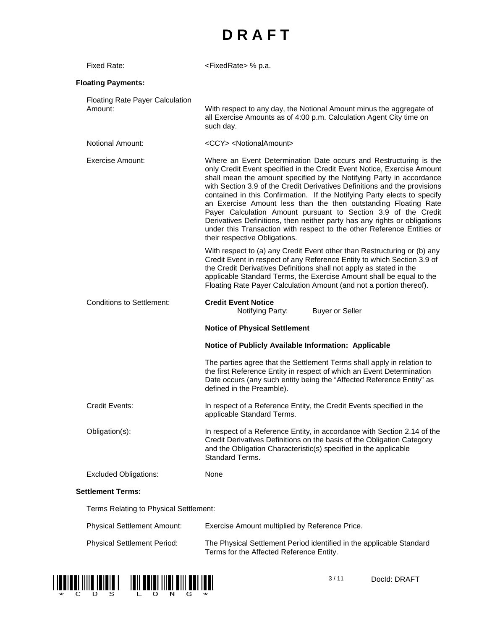| Fixed Rate:                                          | <fixedrate> % p.a.</fixedrate>                                                                                                                                                                                                                                                                                                                                                                                                                                                                                                                                                                                                                                                                             |  |
|------------------------------------------------------|------------------------------------------------------------------------------------------------------------------------------------------------------------------------------------------------------------------------------------------------------------------------------------------------------------------------------------------------------------------------------------------------------------------------------------------------------------------------------------------------------------------------------------------------------------------------------------------------------------------------------------------------------------------------------------------------------------|--|
| <b>Floating Payments:</b>                            |                                                                                                                                                                                                                                                                                                                                                                                                                                                                                                                                                                                                                                                                                                            |  |
| <b>Floating Rate Payer Calculation</b><br>Amount:    | With respect to any day, the Notional Amount minus the aggregate of<br>all Exercise Amounts as of 4:00 p.m. Calculation Agent City time on<br>such day.                                                                                                                                                                                                                                                                                                                                                                                                                                                                                                                                                    |  |
| <b>Notional Amount:</b>                              | <ccy> <notionalamount></notionalamount></ccy>                                                                                                                                                                                                                                                                                                                                                                                                                                                                                                                                                                                                                                                              |  |
| <b>Exercise Amount:</b>                              | Where an Event Determination Date occurs and Restructuring is the<br>only Credit Event specified in the Credit Event Notice, Exercise Amount<br>shall mean the amount specified by the Notifying Party in accordance<br>with Section 3.9 of the Credit Derivatives Definitions and the provisions<br>contained in this Confirmation. If the Notifying Party elects to specify<br>an Exercise Amount less than the then outstanding Floating Rate<br>Payer Calculation Amount pursuant to Section 3.9 of the Credit<br>Derivatives Definitions, then neither party has any rights or obligations<br>under this Transaction with respect to the other Reference Entities or<br>their respective Obligations. |  |
|                                                      | With respect to (a) any Credit Event other than Restructuring or (b) any<br>Credit Event in respect of any Reference Entity to which Section 3.9 of<br>the Credit Derivatives Definitions shall not apply as stated in the<br>applicable Standard Terms, the Exercise Amount shall be equal to the<br>Floating Rate Payer Calculation Amount (and not a portion thereof).                                                                                                                                                                                                                                                                                                                                  |  |
| <b>Conditions to Settlement:</b>                     | <b>Credit Event Notice</b><br><b>Buyer or Seller</b><br>Notifying Party:                                                                                                                                                                                                                                                                                                                                                                                                                                                                                                                                                                                                                                   |  |
| <b>Notice of Physical Settlement</b>                 |                                                                                                                                                                                                                                                                                                                                                                                                                                                                                                                                                                                                                                                                                                            |  |
| Notice of Publicly Available Information: Applicable |                                                                                                                                                                                                                                                                                                                                                                                                                                                                                                                                                                                                                                                                                                            |  |
|                                                      | The parties agree that the Settlement Terms shall apply in relation to<br>the first Reference Entity in respect of which an Event Determination<br>Date occurs (any such entity being the "Affected Reference Entity" as<br>defined in the Preamble).                                                                                                                                                                                                                                                                                                                                                                                                                                                      |  |
| <b>Credit Events:</b>                                | In respect of a Reference Entity, the Credit Events specified in the<br>applicable Standard Terms.                                                                                                                                                                                                                                                                                                                                                                                                                                                                                                                                                                                                         |  |
| Obligation(s):                                       | In respect of a Reference Entity, in accordance with Section 2.14 of the<br>Credit Derivatives Definitions on the basis of the Obligation Category<br>and the Obligation Characteristic(s) specified in the applicable<br>Standard Terms.                                                                                                                                                                                                                                                                                                                                                                                                                                                                  |  |
| <b>Excluded Obligations:</b>                         | None                                                                                                                                                                                                                                                                                                                                                                                                                                                                                                                                                                                                                                                                                                       |  |
| <b>Settlement Terms:</b>                             |                                                                                                                                                                                                                                                                                                                                                                                                                                                                                                                                                                                                                                                                                                            |  |
| Terms Relating to Physical Settlement:               |                                                                                                                                                                                                                                                                                                                                                                                                                                                                                                                                                                                                                                                                                                            |  |
| <b>Physical Settlement Amount:</b>                   | Exercise Amount multiplied by Reference Price.                                                                                                                                                                                                                                                                                                                                                                                                                                                                                                                                                                                                                                                             |  |
| <b>Physical Settlement Period:</b>                   | The Physical Settlement Period identified in the applicable Standard<br>Terms for the Affected Reference Entity.                                                                                                                                                                                                                                                                                                                                                                                                                                                                                                                                                                                           |  |

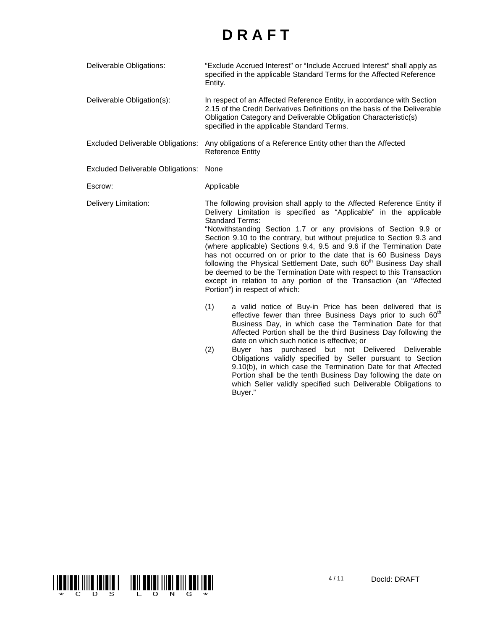| Deliverable Obligations:                 | "Exclude Accrued Interest" or "Include Accrued Interest" shall apply as<br>specified in the applicable Standard Terms for the Affected Reference<br>Entity.                                                                                                                                                                                                                                                                                                                                                                                                                                                                                                                                                                             |  |  |
|------------------------------------------|-----------------------------------------------------------------------------------------------------------------------------------------------------------------------------------------------------------------------------------------------------------------------------------------------------------------------------------------------------------------------------------------------------------------------------------------------------------------------------------------------------------------------------------------------------------------------------------------------------------------------------------------------------------------------------------------------------------------------------------------|--|--|
| Deliverable Obligation(s):               | In respect of an Affected Reference Entity, in accordance with Section<br>2.15 of the Credit Derivatives Definitions on the basis of the Deliverable<br>Obligation Category and Deliverable Obligation Characteristic(s)<br>specified in the applicable Standard Terms.                                                                                                                                                                                                                                                                                                                                                                                                                                                                 |  |  |
| <b>Excluded Deliverable Obligations:</b> | Any obligations of a Reference Entity other than the Affected<br><b>Reference Entity</b>                                                                                                                                                                                                                                                                                                                                                                                                                                                                                                                                                                                                                                                |  |  |
| <b>Excluded Deliverable Obligations:</b> | None                                                                                                                                                                                                                                                                                                                                                                                                                                                                                                                                                                                                                                                                                                                                    |  |  |
| Escrow:                                  | Applicable                                                                                                                                                                                                                                                                                                                                                                                                                                                                                                                                                                                                                                                                                                                              |  |  |
| Delivery Limitation:                     | The following provision shall apply to the Affected Reference Entity if<br>Delivery Limitation is specified as "Applicable" in the applicable<br><b>Standard Terms:</b><br>"Notwithstanding Section 1.7 or any provisions of Section 9.9 or<br>Section 9.10 to the contrary, but without prejudice to Section 9.3 and<br>(where applicable) Sections 9.4, 9.5 and 9.6 if the Termination Date<br>has not occurred on or prior to the date that is 60 Business Days<br>following the Physical Settlement Date, such 60 <sup>th</sup> Business Day shall<br>be deemed to be the Termination Date with respect to this Transaction<br>except in relation to any portion of the Transaction (an "Affected<br>Portion") in respect of which: |  |  |
|                                          | (1)<br>a valid notice of Buy-in Price has been delivered that is<br>effective fewer than three Business Days prior to such 60 <sup>th</sup><br>Business Day, in which case the Termination Date for that<br>Affected Portion shall be the third Business Day following the<br>date on which such notice is effective; or<br>(2)<br>but not Delivered Deliverable<br>Buver<br>has purchased<br>Obligations validly specified by Seller pursuant to Section<br>9.10(b), in which case the Termination Date for that Affected                                                                                                                                                                                                              |  |  |

Buyer."



Portion shall be the tenth Business Day following the date on which Seller validly specified such Deliverable Obligations to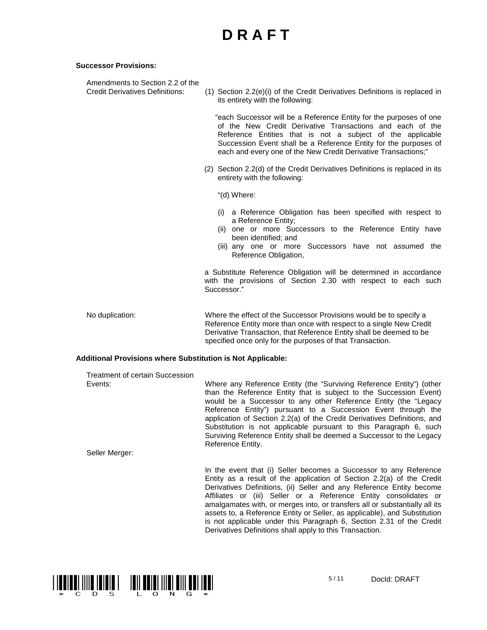#### **Successor Provisions:**

Amendments to Section 2.2 of the

Credit Derivatives Definitions: (1) Section 2.2(e)(i) of the Credit Derivatives Definitions is replaced in its entirety with the following:

> "each Successor will be a Reference Entity for the purposes of one of the New Credit Derivative Transactions and each of the Reference Entities that is not a subject of the applicable Succession Event shall be a Reference Entity for the purposes of each and every one of the New Credit Derivative Transactions;"

(2) Section 2.2(d) of the Credit Derivatives Definitions is replaced in its entirety with the following:

"(d) Where:

- (i) a Reference Obligation has been specified with respect to a Reference Entity;
- (ii) one or more Successors to the Reference Entity have been identified; and
- (iii) any one or more Successors have not assumed the Reference Obligation,

a Substitute Reference Obligation will be determined in accordance with the provisions of Section 2.30 with respect to each such Successor."

No duplication: Where the effect of the Successor Provisions would be to specify a Reference Entity more than once with respect to a single New Credit Derivative Transaction, that Reference Entity shall be deemed to be specified once only for the purposes of that Transaction.

#### **Additional Provisions where Substitution is Not Applicable:**

| Treatment of certain Succession<br>Events:<br>Seller Merger: | Where any Reference Entity (the "Surviving Reference Entity") (other<br>than the Reference Entity that is subject to the Succession Event)<br>would be a Successor to any other Reference Entity (the "Legacy<br>Reference Entity") pursuant to a Succession Event through the<br>application of Section 2.2(a) of the Credit Derivatives Definitions, and<br>Substitution is not applicable pursuant to this Paragraph 6, such<br>Surviving Reference Entity shall be deemed a Successor to the Legacy<br>Reference Entity. |
|--------------------------------------------------------------|------------------------------------------------------------------------------------------------------------------------------------------------------------------------------------------------------------------------------------------------------------------------------------------------------------------------------------------------------------------------------------------------------------------------------------------------------------------------------------------------------------------------------|
|                                                              | In the event that (i) Seller becomes a Successor to any Reference<br>Entity as a result of the application of Section 2.2(a) of the Credit                                                                                                                                                                                                                                                                                                                                                                                   |

Derivatives Definitions, (ii) Seller and any Reference Entity become Affiliates or (iii) Seller or a Reference Entity consolidates or amalgamates with, or merges into, or transfers all or substantially all its assets to, a Reference Entity or Seller, as applicable), and Substitution is not applicable under this Paragraph 6, Section 2.31 of the Credit Derivatives Definitions shall apply to this Transaction.

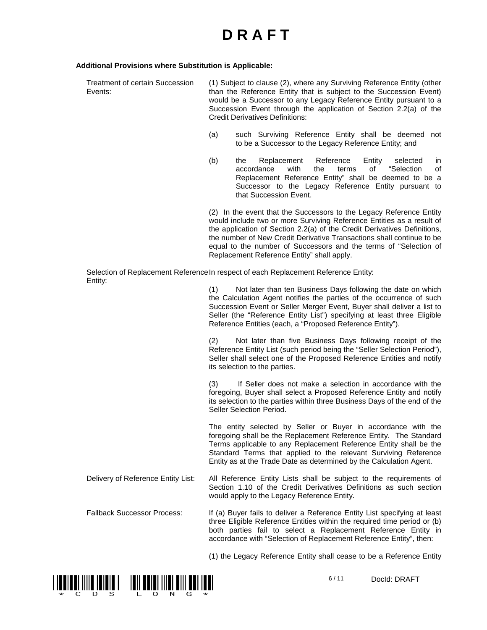#### **Additional Provisions where Substitution is Applicable:**

Treatment of certain Succession Events:

(1) Subject to clause (2), where any Surviving Reference Entity (other than the Reference Entity that is subject to the Succession Event) would be a Successor to any Legacy Reference Entity pursuant to a Succession Event through the application of Section 2.2(a) of the Credit Derivatives Definitions:

- (a) such Surviving Reference Entity shall be deemed not to be a Successor to the Legacy Reference Entity; and
- (b) the Replacement Reference Entity selected in accordance with the terms of "Selection of Replacement Reference Entity" shall be deemed to be a Successor to the Legacy Reference Entity pursuant to that Succession Event.

(2) In the event that the Successors to the Legacy Reference Entity would include two or more Surviving Reference Entities as a result of the application of Section 2.2(a) of the Credit Derivatives Definitions, the number of New Credit Derivative Transactions shall continue to be equal to the number of Successors and the terms of "Selection of Replacement Reference Entity" shall apply.

Selection of Replacement Reference In respect of each Replacement Reference Entity: Entity:

> (1) Not later than ten Business Days following the date on which the Calculation Agent notifies the parties of the occurrence of such Succession Event or Seller Merger Event, Buyer shall deliver a list to Seller (the "Reference Entity List") specifying at least three Eligible Reference Entities (each, a "Proposed Reference Entity").

> (2) Not later than five Business Days following receipt of the Reference Entity List (such period being the "Seller Selection Period"), Seller shall select one of the Proposed Reference Entities and notify its selection to the parties.

> (3) If Seller does not make a selection in accordance with the foregoing, Buyer shall select a Proposed Reference Entity and notify its selection to the parties within three Business Days of the end of the Seller Selection Period.

> The entity selected by Seller or Buyer in accordance with the foregoing shall be the Replacement Reference Entity. The Standard Terms applicable to any Replacement Reference Entity shall be the Standard Terms that applied to the relevant Surviving Reference Entity as at the Trade Date as determined by the Calculation Agent.

Delivery of Reference Entity List: All Reference Entity Lists shall be subject to the requirements of Section 1.10 of the Credit Derivatives Definitions as such section

Fallback Successor Process: If (a) Buyer fails to deliver a Reference Entity List specifying at least three Eligible Reference Entities within the required time period or (b) both parties fail to select a Replacement Reference Entity in accordance with "Selection of Replacement Reference Entity", then:

would apply to the Legacy Reference Entity.

(1) the Legacy Reference Entity shall cease to be a Reference Entity

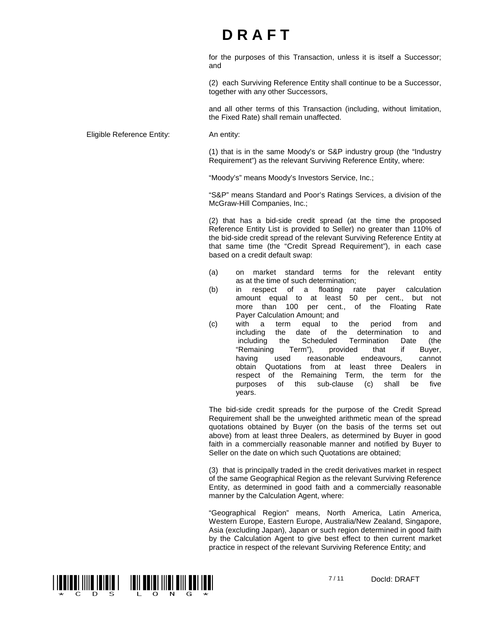for the purposes of this Transaction, unless it is itself a Successor; and

(2) each Surviving Reference Entity shall continue to be a Successor, together with any other Successors,

and all other terms of this Transaction (including, without limitation, the Fixed Rate) shall remain unaffected.

Eligible Reference Entity: An entity:

(1) that is in the same Moody's or S&P industry group (the "Industry Requirement") as the relevant Surviving Reference Entity, where:

"Moody's" means Moody's Investors Service, Inc.;

"S&P" means Standard and Poor's Ratings Services, a division of the McGraw-Hill Companies, Inc.;

(2) that has a bid-side credit spread (at the time the proposed Reference Entity List is provided to Seller) no greater than 110% of the bid-side credit spread of the relevant Surviving Reference Entity at that same time (the "Credit Spread Requirement"), in each case based on a credit default swap:

- (a) on market standard terms for the relevant entity as at the time of such determination;
- (b) in respect of a floating rate payer calculation amount equal to at least 50 per cent., but not more than 100 per cent., of the Floating Rate Payer Calculation Amount; and
- (c) with a term equal to the period from and including the date of the determination to and including the Scheduled Termination Date (the "Remaining Term"), provided that if Buyer, having used reasonable endeavours, cannot obtain Quotations from at least three Dealers in respect of the Remaining Term, the term for the purposes of this sub-clause (c) shall be five years.

The bid-side credit spreads for the purpose of the Credit Spread Requirement shall be the unweighted arithmetic mean of the spread quotations obtained by Buyer (on the basis of the terms set out above) from at least three Dealers, as determined by Buyer in good faith in a commercially reasonable manner and notified by Buyer to Seller on the date on which such Quotations are obtained;

(3) that is principally traded in the credit derivatives market in respect of the same Geographical Region as the relevant Surviving Reference Entity, as determined in good faith and a commercially reasonable manner by the Calculation Agent, where:

"Geographical Region" means, North America, Latin America, Western Europe, Eastern Europe, Australia/New Zealand, Singapore, Asia (excluding Japan), Japan or such region determined in good faith by the Calculation Agent to give best effect to then current market practice in respect of the relevant Surviving Reference Entity; and

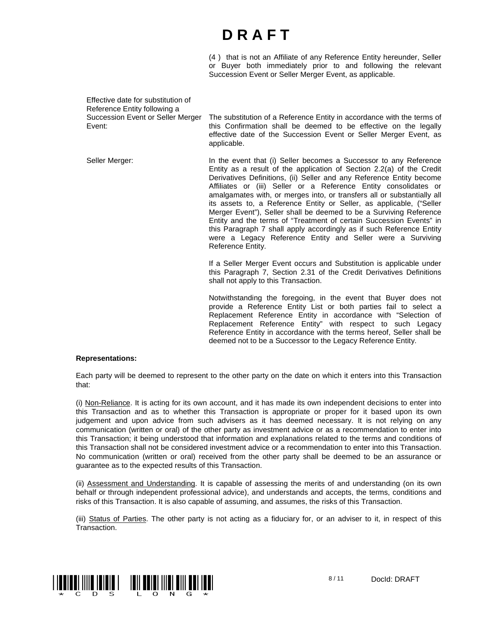(4 ) that is not an Affiliate of any Reference Entity hereunder, Seller or Buyer both immediately prior to and following the relevant Succession Event or Seller Merger Event, as applicable.

Effective date for substitution of Reference Entity following a Succession Event or Seller Merger Event: The substitution of a Reference Entity in accordance with the terms of this Confirmation shall be deemed to be effective on the legally effective date of the Succession Event or Seller Merger Event, as applicable. Seller Merger: In the event that (i) Seller becomes a Successor to any Reference Entity as a result of the application of Section 2.2(a) of the Credit Derivatives Definitions, (ii) Seller and any Reference Entity become Affiliates or (iii) Seller or a Reference Entity consolidates or amalgamates with, or merges into, or transfers all or substantially all its assets to, a Reference Entity or Seller, as applicable, ("Seller Merger Event"), Seller shall be deemed to be a Surviving Reference Entity and the terms of "Treatment of certain Succession Events" in this Paragraph 7 shall apply accordingly as if such Reference Entity were a Legacy Reference Entity and Seller were a Surviving Reference Entity.

If a Seller Merger Event occurs and Substitution is applicable under this Paragraph 7, Section 2.31 of the Credit Derivatives Definitions shall not apply to this Transaction.

Notwithstanding the foregoing, in the event that Buyer does not provide a Reference Entity List or both parties fail to select a Replacement Reference Entity in accordance with "Selection of Replacement Reference Entity" with respect to such Legacy Reference Entity in accordance with the terms hereof, Seller shall be deemed not to be a Successor to the Legacy Reference Entity.

#### **Representations:**

Each party will be deemed to represent to the other party on the date on which it enters into this Transaction that:

(i) Non-Reliance. It is acting for its own account, and it has made its own independent decisions to enter into this Transaction and as to whether this Transaction is appropriate or proper for it based upon its own judgement and upon advice from such advisers as it has deemed necessary. It is not relying on any communication (written or oral) of the other party as investment advice or as a recommendation to enter into this Transaction; it being understood that information and explanations related to the terms and conditions of this Transaction shall not be considered investment advice or a recommendation to enter into this Transaction. No communication (written or oral) received from the other party shall be deemed to be an assurance or guarantee as to the expected results of this Transaction.

(ii) Assessment and Understanding. It is capable of assessing the merits of and understanding (on its own behalf or through independent professional advice), and understands and accepts, the terms, conditions and risks of this Transaction. It is also capable of assuming, and assumes, the risks of this Transaction.

(iii) Status of Parties. The other party is not acting as a fiduciary for, or an adviser to it, in respect of this Transaction.

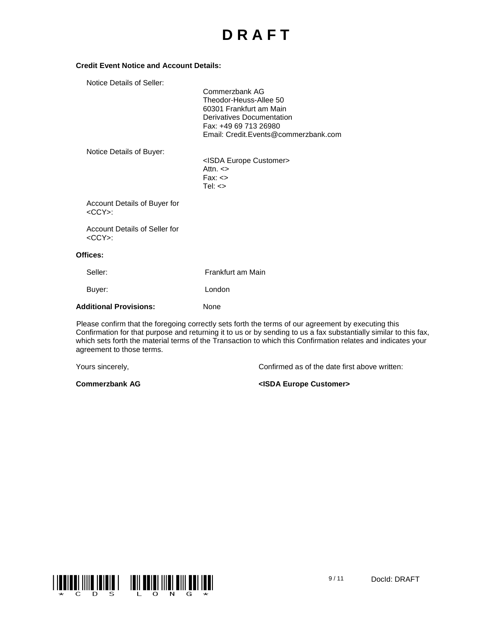#### **Credit Event Notice and Account Details:**

Notice Details of Seller:

 Commerzbank AG Theodor-Heuss-Allee 50 60301 Frankfurt am Main Derivatives Documentation Fax: +49 69 713 26980 Email: Credit.Events@commerzbank.com

Notice Details of Buyer:

 <ISDA Europe Customer> Attn. <> Fax: <>  $Tel: <$ 

Account Details of Buyer for  $<$ CCY $>$ :

Account Details of Seller for <CCY>:

#### **Offices:**

| <b>Additional Provisions:</b> | None              |
|-------------------------------|-------------------|
| Buver:                        | London            |
| Seller:                       | Frankfurt am Main |

Please confirm that the foregoing correctly sets forth the terms of our agreement by executing this Confirmation for that purpose and returning it to us or by sending to us a fax substantially similar to this fax, which sets forth the material terms of the Transaction to which this Confirmation relates and indicates your agreement to those terms.

Yours sincerely, The continue of the date first above written:

**Commerzbank AG <ISDA Europe Customer>** 

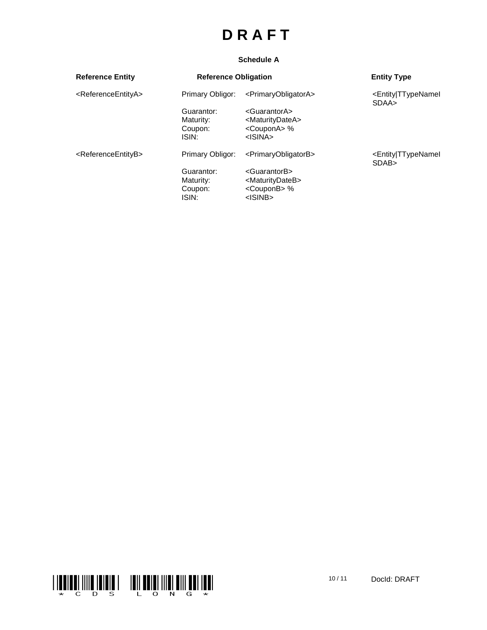#### **Schedule A**

| <b>Reference Entity</b><br><b>Reference Obligation</b> |                                             | <b>Entity Type</b>                                                                                                                  |                                                       |
|--------------------------------------------------------|---------------------------------------------|-------------------------------------------------------------------------------------------------------------------------------------|-------------------------------------------------------|
| <referenceentitya></referenceentitya>                  | Primary Obligor:                            | <primaryobligatora></primaryobligatora>                                                                                             | <entity ttypenamel<br>SDAA&gt;</entity ttypenamel<br> |
|                                                        | Guarantor:<br>Maturity:<br>Coupon:<br>ISIN: | <guarantora><br/><maturitydatea><br/><coupona>%<br/><math>&lt;</math>ISINA<math>&gt;</math></coupona></maturitydatea></guarantora>  |                                                       |
| <referenceentityb></referenceentityb>                  | Primary Obligor:                            | <primaryobligatorb></primaryobligatorb>                                                                                             | <entity ttypenamel<br>SDAB&gt;</entity ttypenamel<br> |
|                                                        | Guarantor:<br>Maturity:<br>Coupon:<br>ISIN: | <guarantorb><br/><maturitydateb><br/><couponb> %<br/><math>&lt;</math>ISINB<math>&gt;</math></couponb></maturitydateb></guarantorb> |                                                       |



10 / 11 DocId: DRAFT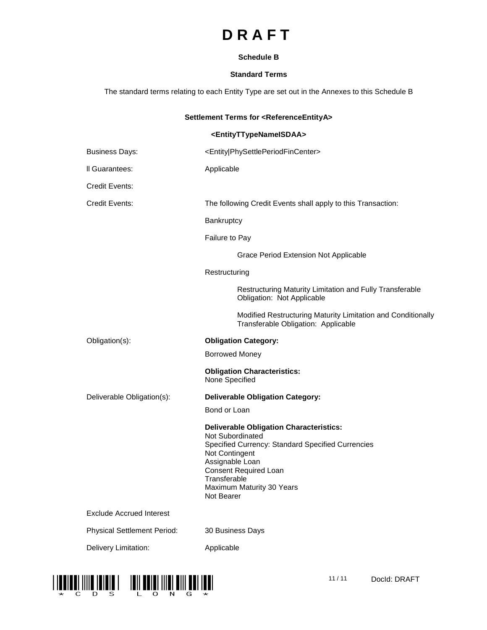#### **Schedule B**

#### **Standard Terms**

The standard terms relating to each Entity Type are set out in the Annexes to this Schedule B

|  |  |  | <b>Settlement Terms for <referenceentitya></referenceentitya></b> |
|--|--|--|-------------------------------------------------------------------|
|--|--|--|-------------------------------------------------------------------|

#### **<EntityTTypeNameISDAA>**

| <b>Business Days:</b>              | <entity physettleperiodfincenter></entity physettleperiodfincenter>                                                                                                                                                                                     |  |
|------------------------------------|---------------------------------------------------------------------------------------------------------------------------------------------------------------------------------------------------------------------------------------------------------|--|
| Il Guarantees:                     | Applicable                                                                                                                                                                                                                                              |  |
| <b>Credit Events:</b>              |                                                                                                                                                                                                                                                         |  |
| <b>Credit Events:</b>              | The following Credit Events shall apply to this Transaction:                                                                                                                                                                                            |  |
|                                    | Bankruptcy                                                                                                                                                                                                                                              |  |
|                                    | Failure to Pay                                                                                                                                                                                                                                          |  |
|                                    | Grace Period Extension Not Applicable                                                                                                                                                                                                                   |  |
|                                    | Restructuring                                                                                                                                                                                                                                           |  |
|                                    | Restructuring Maturity Limitation and Fully Transferable<br>Obligation: Not Applicable                                                                                                                                                                  |  |
|                                    | Modified Restructuring Maturity Limitation and Conditionally<br>Transferable Obligation: Applicable                                                                                                                                                     |  |
| Obligation(s):                     | <b>Obligation Category:</b>                                                                                                                                                                                                                             |  |
|                                    | <b>Borrowed Money</b>                                                                                                                                                                                                                                   |  |
|                                    | <b>Obligation Characteristics:</b><br>None Specified                                                                                                                                                                                                    |  |
| Deliverable Obligation(s):         | <b>Deliverable Obligation Category:</b>                                                                                                                                                                                                                 |  |
|                                    | Bond or Loan                                                                                                                                                                                                                                            |  |
|                                    | <b>Deliverable Obligation Characteristics:</b><br>Not Subordinated<br>Specified Currency: Standard Specified Currencies<br>Not Contingent<br>Assignable Loan<br><b>Consent Required Loan</b><br>Transferable<br>Maximum Maturity 30 Years<br>Not Bearer |  |
| <b>Exclude Accrued Interest</b>    |                                                                                                                                                                                                                                                         |  |
| <b>Physical Settlement Period:</b> | 30 Business Days                                                                                                                                                                                                                                        |  |
| Delivery Limitation:               | Applicable                                                                                                                                                                                                                                              |  |

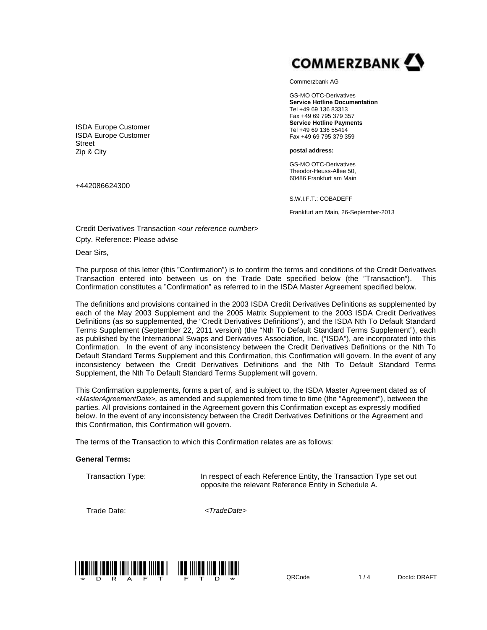

Commerzbank AG

GS-MO OTC-Derivatives **Service Hotline Documentation**  Tel +49 69 136 83313 Fax +49 69 795 379 357 **Service Hotline Payments**  Tel +49 69 136 55414 Fax +49 69 795 379 359

**postal address:** 

GS-MO OTC-Derivatives Theodor-Heuss-Allee 50, 60486 Frankfurt am Main

S.W.I.F.T.: COBADEFF

Frankfurt am Main, 26-September-2013

Credit Derivatives Transaction <our reference number> Cpty. Reference: Please advise

Dear Sirs,

+442086624300

ISDA Europe Customer ISDA Europe Customer

Street Zip & City

The purpose of this letter (this "Confirmation") is to confirm the terms and conditions of the Credit Derivatives Transaction entered into between us on the Trade Date specified below (the "Transaction"). This Confirmation constitutes a "Confirmation" as referred to in the ISDA Master Agreement specified below.

The definitions and provisions contained in the 2003 ISDA Credit Derivatives Definitions as supplemented by each of the May 2003 Supplement and the 2005 Matrix Supplement to the 2003 ISDA Credit Derivatives Definitions (as so supplemented, the "Credit Derivatives Definitions"), and the ISDA Nth To Default Standard Terms Supplement (September 22, 2011 version) (the "Nth To Default Standard Terms Supplement"), each as published by the International Swaps and Derivatives Association, Inc. ("ISDA"), are incorporated into this Confirmation. In the event of any inconsistency between the Credit Derivatives Definitions or the Nth To Default Standard Terms Supplement and this Confirmation, this Confirmation will govern. In the event of any inconsistency between the Credit Derivatives Definitions and the Nth To Default Standard Terms Supplement, the Nth To Default Standard Terms Supplement will govern.

This Confirmation supplements, forms a part of, and is subject to, the ISDA Master Agreement dated as of <MasterAgreementDate>, as amended and supplemented from time to time (the "Agreement"), between the parties. All provisions contained in the Agreement govern this Confirmation except as expressly modified below. In the event of any inconsistency between the Credit Derivatives Definitions or the Agreement and this Confirmation, this Confirmation will govern.

The terms of the Transaction to which this Confirmation relates are as follows:

#### **General Terms:**

Transaction Type: In respect of each Reference Entity, the Transaction Type set out opposite the relevant Reference Entity in Schedule A.

Trade Date:  $\langle TradeDate \rangle$ 

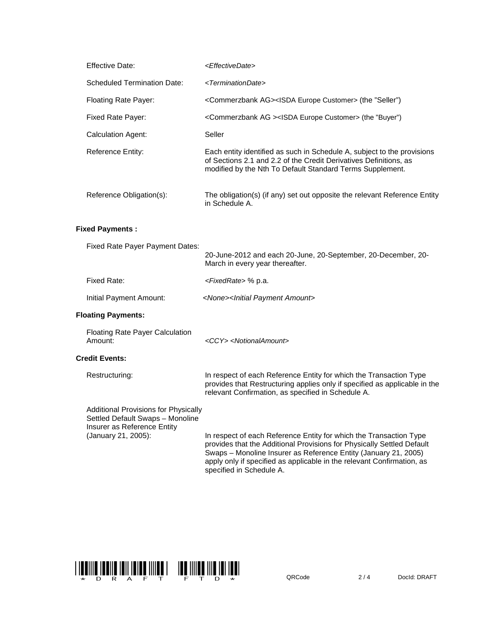| <b>Effective Date:</b>                                                                                                                | <effectivedate></effectivedate>                                                                                                                                                                                                                                                                                       |  |  |
|---------------------------------------------------------------------------------------------------------------------------------------|-----------------------------------------------------------------------------------------------------------------------------------------------------------------------------------------------------------------------------------------------------------------------------------------------------------------------|--|--|
| <b>Scheduled Termination Date:</b>                                                                                                    | <terminationdate></terminationdate>                                                                                                                                                                                                                                                                                   |  |  |
| <b>Floating Rate Payer:</b>                                                                                                           | <commerzbank ag=""><isda customer="" europe=""> (the "Seller")</isda></commerzbank>                                                                                                                                                                                                                                   |  |  |
| Fixed Rate Payer:                                                                                                                     | <commerzbank ag=""><isda customer="" europe=""> (the "Buyer")</isda></commerzbank>                                                                                                                                                                                                                                    |  |  |
| <b>Calculation Agent:</b>                                                                                                             | Seller                                                                                                                                                                                                                                                                                                                |  |  |
| <b>Reference Entity:</b>                                                                                                              | Each entity identified as such in Schedule A, subject to the provisions<br>of Sections 2.1 and 2.2 of the Credit Derivatives Definitions, as<br>modified by the Nth To Default Standard Terms Supplement.                                                                                                             |  |  |
| Reference Obligation(s):                                                                                                              | The obligation(s) (if any) set out opposite the relevant Reference Entity<br>in Schedule A.                                                                                                                                                                                                                           |  |  |
| <b>Fixed Payments:</b>                                                                                                                |                                                                                                                                                                                                                                                                                                                       |  |  |
| Fixed Rate Payer Payment Dates:                                                                                                       | 20-June-2012 and each 20-June, 20-September, 20-December, 20-<br>March in every year thereafter.                                                                                                                                                                                                                      |  |  |
| Fixed Rate:                                                                                                                           | <fixedrate> % p.a.</fixedrate>                                                                                                                                                                                                                                                                                        |  |  |
| Initial Payment Amount:                                                                                                               | <none><initial amount="" payment=""></initial></none>                                                                                                                                                                                                                                                                 |  |  |
| <b>Floating Payments:</b>                                                                                                             |                                                                                                                                                                                                                                                                                                                       |  |  |
| <b>Floating Rate Payer Calculation</b><br>Amount:                                                                                     | <ccy> <notionalamount></notionalamount></ccy>                                                                                                                                                                                                                                                                         |  |  |
| <b>Credit Events:</b>                                                                                                                 |                                                                                                                                                                                                                                                                                                                       |  |  |
| Restructuring:                                                                                                                        | In respect of each Reference Entity for which the Transaction Type<br>provides that Restructuring applies only if specified as applicable in the<br>relevant Confirmation, as specified in Schedule A.                                                                                                                |  |  |
| <b>Additional Provisions for Physically</b><br>Settled Default Swaps - Monoline<br>Insurer as Reference Entity<br>(January 21, 2005): | In respect of each Reference Entity for which the Transaction Type<br>provides that the Additional Provisions for Physically Settled Default<br>Swaps - Monoline Insurer as Reference Entity (January 21, 2005)<br>apply only if specified as applicable in the relevant Confirmation, as<br>specified in Schedule A. |  |  |

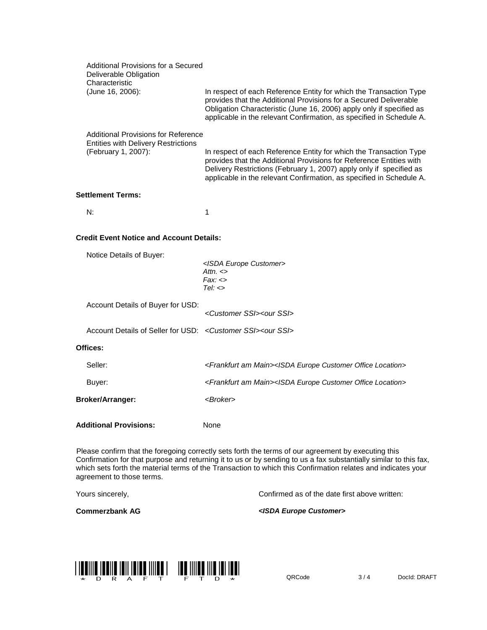| Additional Provisions for a Secured<br>Deliverable Obligation<br>Characteristic<br>(June 16, 2006):<br>Additional Provisions for Reference<br><b>Entities with Delivery Restrictions</b><br>(February 1, 2007): | In respect of each Reference Entity for which the Transaction Type<br>provides that the Additional Provisions for a Secured Deliverable<br>Obligation Characteristic (June 16, 2006) apply only if specified as<br>applicable in the relevant Confirmation, as specified in Schedule A.<br>In respect of each Reference Entity for which the Transaction Type<br>provides that the Additional Provisions for Reference Entities with<br>Delivery Restrictions (February 1, 2007) apply only if specified as |  |  |
|-----------------------------------------------------------------------------------------------------------------------------------------------------------------------------------------------------------------|-------------------------------------------------------------------------------------------------------------------------------------------------------------------------------------------------------------------------------------------------------------------------------------------------------------------------------------------------------------------------------------------------------------------------------------------------------------------------------------------------------------|--|--|
|                                                                                                                                                                                                                 | applicable in the relevant Confirmation, as specified in Schedule A.                                                                                                                                                                                                                                                                                                                                                                                                                                        |  |  |
| <b>Settlement Terms:</b>                                                                                                                                                                                        |                                                                                                                                                                                                                                                                                                                                                                                                                                                                                                             |  |  |
| N:                                                                                                                                                                                                              | 1                                                                                                                                                                                                                                                                                                                                                                                                                                                                                                           |  |  |
| <b>Credit Event Notice and Account Details:</b>                                                                                                                                                                 |                                                                                                                                                                                                                                                                                                                                                                                                                                                                                                             |  |  |
| Notice Details of Buyer:                                                                                                                                                                                        | <isda customer="" europe=""><br/>Attn. <math>\lt</math><br/><math>Fax: \leq</math><br/>Tel: &lt;</isda>                                                                                                                                                                                                                                                                                                                                                                                                     |  |  |
| Account Details of Buyer for USD:                                                                                                                                                                               | <customer ssi=""><our ssi=""></our></customer>                                                                                                                                                                                                                                                                                                                                                                                                                                                              |  |  |
| Account Details of Seller for USD: < Customer SSI> <our ssi=""></our>                                                                                                                                           |                                                                                                                                                                                                                                                                                                                                                                                                                                                                                                             |  |  |
| Offices:                                                                                                                                                                                                        |                                                                                                                                                                                                                                                                                                                                                                                                                                                                                                             |  |  |
| Seller:                                                                                                                                                                                                         | <frankfurt am="" main=""><isda customer="" europe="" location="" office=""></isda></frankfurt>                                                                                                                                                                                                                                                                                                                                                                                                              |  |  |
| Buyer:                                                                                                                                                                                                          | <frankfurt am="" main=""><isda customer="" europe="" location="" office=""></isda></frankfurt>                                                                                                                                                                                                                                                                                                                                                                                                              |  |  |
| <b>Broker/Arranger:</b>                                                                                                                                                                                         | <broker></broker>                                                                                                                                                                                                                                                                                                                                                                                                                                                                                           |  |  |
| <b>Additional Provisions:</b>                                                                                                                                                                                   | None                                                                                                                                                                                                                                                                                                                                                                                                                                                                                                        |  |  |

Please confirm that the foregoing correctly sets forth the terms of our agreement by executing this Confirmation for that purpose and returning it to us or by sending to us a fax substantially similar to this fax, which sets forth the material terms of the Transaction to which this Confirmation relates and indicates your agreement to those terms.

Confirmed as of the date first above written:

**Commerzbank AG <ISDA Europe Customer>**

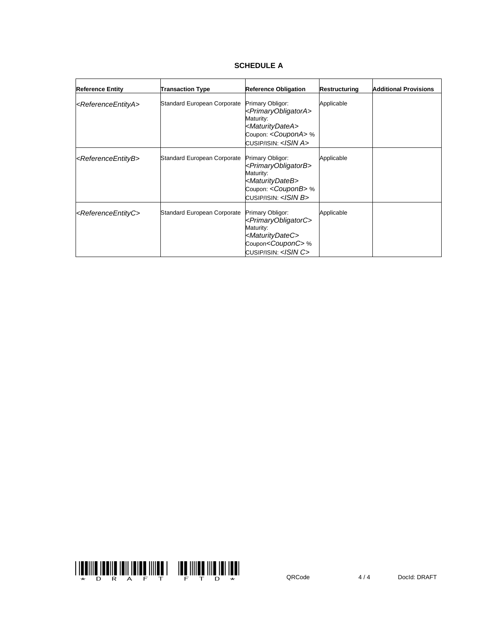#### **SCHEDULE A**

| <b>Reference Entity</b>               | <b>Transaction Type</b>     | <b>Reference Obligation</b>                                                                                                                                                       | <b>Restructuring</b> | <b>Additional Provisions</b> |
|---------------------------------------|-----------------------------|-----------------------------------------------------------------------------------------------------------------------------------------------------------------------------------|----------------------|------------------------------|
| <referenceentitya></referenceentitya> | Standard European Corporate | Primary Obligor:<br><primaryobligatora><br/>Maturity:<br/><maturitydatea><br/>Coupon: <coupona>%<br/>CUSIP/ISIN: <isin a=""></isin></coupona></maturitydatea></primaryobligatora> | Applicable           |                              |
| <referenceentityb></referenceentityb> | Standard European Corporate | Primary Obligor:<br><primaryobligatorb><br/>Maturity:<br/><maturitydateb><br/>Coupon: <couponb>%<br/> CUSIP/ISIN: </couponb></maturitydateb></primaryobligatorb>                  | Applicable           |                              |
| <referenceentityc></referenceentityc> | Standard European Corporate | Primary Obligor:<br><primaryobligatorc><br/>Maturity:<br/><maturitydatec><br/>Coupon<couponc>%<br/>CUSIP/ISIN: <l>SINC</l></couponc></maturitydatec></primaryobligatorc>          | Applicable           |                              |

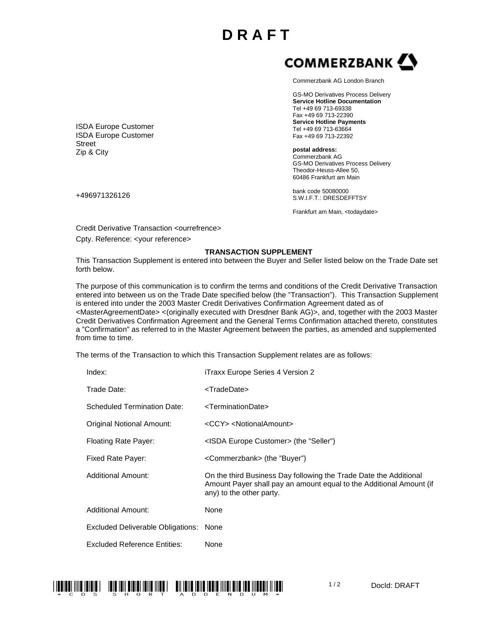

Commerzbank AG London Branch

GS-MO Derivatives Process Delivery **Service Hotline Documentation**  Tel +49 69 713-69338 Fax +49 69 713-22390 **Service Hotline Payments**  Tel +49 69 713-63664 Fax +49 69 713-22392

#### **postal address:**

Commerzbank AG GS-MO Derivatives Process Delivery Theodor-Heuss-Allee 50, 60486 Frankfurt am Main

bank code 50080000 S.W.I.F.T.: DRESDEFFTSY

Frankfurt am Main, <todaydate>

Zip & City

+496971326126

ISDA Europe Customer ISDA Europe Customer

Street

Credit Derivative Transaction <ourrefrence> Cpty. Reference: <your reference>

#### **TRANSACTION SUPPLEMENT**

This Transaction Supplement is entered into between the Buyer and Seller listed below on the Trade Date set forth below.

The purpose of this communication is to confirm the terms and conditions of the Credit Derivative Transaction entered into between us on the Trade Date specified below (the "Transaction"). This Transaction Supplement is entered into under the 2003 Master Credit Derivatives Confirmation Agreement dated as of <MasterAgreementDate> <(originally executed with Dresdner Bank AG)>, and, together with the 2003 Master Credit Derivatives Confirmation Agreement and the General Terms Confirmation attached thereto, constitutes a "Confirmation" as referred to in the Master Agreement between the parties, as amended and supplemented from time to time.

The terms of the Transaction to which this Transaction Supplement relates are as follows:

| Index:                                 | iTraxx Europe Series 4 Version 2                                                                                                                                     |  |  |
|----------------------------------------|----------------------------------------------------------------------------------------------------------------------------------------------------------------------|--|--|
| Trade Date:                            | <tradedate></tradedate>                                                                                                                                              |  |  |
| <b>Scheduled Termination Date:</b>     | <terminationdate></terminationdate>                                                                                                                                  |  |  |
| <b>Original Notional Amount:</b>       | <ccy> <notionalamount></notionalamount></ccy>                                                                                                                        |  |  |
| <b>Floating Rate Payer:</b>            | <isda customer="" europe=""> (the "Seller")</isda>                                                                                                                   |  |  |
| Fixed Rate Payer:                      | <commerzbank> (the "Buyer")</commerzbank>                                                                                                                            |  |  |
| Additional Amount:                     | On the third Business Day following the Trade Date the Additional<br>Amount Payer shall pay an amount equal to the Additional Amount (if<br>any) to the other party. |  |  |
| <b>Additional Amount:</b>              | None                                                                                                                                                                 |  |  |
| Excluded Deliverable Obligations: None |                                                                                                                                                                      |  |  |
| <b>Excluded Reference Entities:</b>    | None                                                                                                                                                                 |  |  |

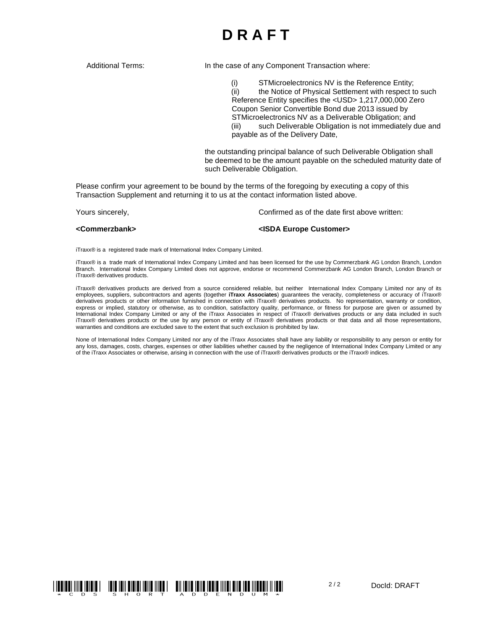Additional Terms: In the case of any Component Transaction where:

(i) STMicroelectronics NV is the Reference Entity; (ii) the Notice of Physical Settlement with respect to such Reference Entity specifies the <USD> 1,217,000,000 Zero Coupon Senior Convertible Bond due 2013 issued by STMicroelectronics NV as a Deliverable Obligation; and (iii) such Deliverable Obligation is not immediately due and payable as of the Delivery Date,

the outstanding principal balance of such Deliverable Obligation shall be deemed to be the amount payable on the scheduled maturity date of such Deliverable Obligation.

Please confirm your agreement to be bound by the terms of the foregoing by executing a copy of this Transaction Supplement and returning it to us at the contact information listed above.

Yours sincerely, Confirmed as of the date first above written:

**<Commerzbank> <ISDA Europe Customer>** 

iTraxx® is a registered trade mark of International Index Company Limited.

iTraxx® is a trade mark of International Index Company Limited and has been licensed for the use by Commerzbank AG London Branch, London Branch. International Index Company Limited does not approve, endorse or recommend Commerzbank AG London Branch, London Branch or iTraxx® derivatives products.

iTraxx® derivatives products are derived from a source considered reliable, but neither International Index Company Limited nor any of its employees, suppliers, subcontractors and agents (together **iTraxx Associates**) guarantees the veracity, completeness or accuracy of iTraxx® derivatives products or other information furnished in connection with iTraxx® derivatives products. No representation, warranty or condition, express or implied, statutory or otherwise, as to condition, satisfactory quality, performance, or fitness for purpose are given or assumed by International Index Company Limited or any of the iTraxx Associates in respect of iTraxx® derivatives products or any data included in such iTraxx® derivatives products or the use by any person or entity of iTraxx® derivatives products or that data and all those representations, warranties and conditions are excluded save to the extent that such exclusion is prohibited by law.

None of International Index Company Limited nor any of the iTraxx Associates shall have any liability or responsibility to any person or entity for any loss, damages, costs, charges, expenses or other liabilities whether caused by the negligence of International Index Company Limited or any of the iTraxx Associates or otherwise, arising in connection with the use of iTraxx® derivatives products or the iTraxx® indices.

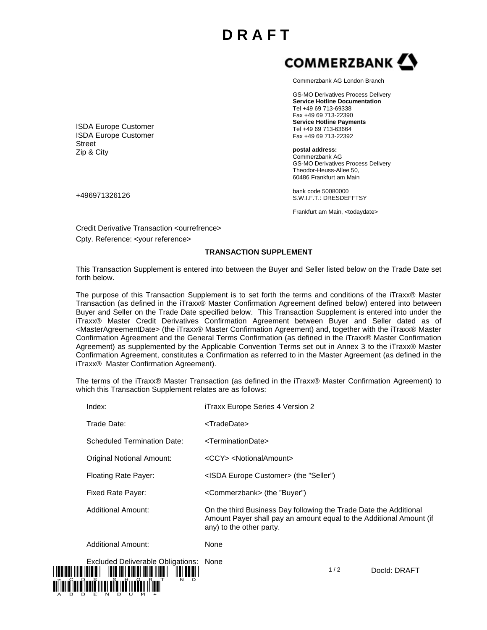

Commerzbank AG London Branch

GS-MO Derivatives Process Delivery **Service Hotline Documentation**  Tel +49 69 713-69338 Fax +49 69 713-22390 **Service Hotline Payments**  Tel +49 69 713-63664 Fax +49 69 713-22392

**postal address:** 

Commerzbank AG GS-MO Derivatives Process Delivery Theodor-Heuss-Allee 50, 60486 Frankfurt am Main

bank code 50080000 S.W.I.F.T.: DRESDEFFTSY

Frankfurt am Main, <todaydate>

ISDA Europe Customer Street Zip & City

+496971326126

ISDA Europe Customer

Credit Derivative Transaction <ourrefrence> Cpty. Reference: <your reference>

#### **TRANSACTION SUPPLEMENT**

This Transaction Supplement is entered into between the Buyer and Seller listed below on the Trade Date set forth below.

The purpose of this Transaction Supplement is to set forth the terms and conditions of the iTraxx® Master Transaction (as defined in the iTraxx® Master Confirmation Agreement defined below) entered into between Buyer and Seller on the Trade Date specified below. This Transaction Supplement is entered into under the iTraxx® Master Credit Derivatives Confirmation Agreement between Buyer and Seller dated as of <MasterAgreementDate> (the iTraxx® Master Confirmation Agreement) and, together with the iTraxx® Master Confirmation Agreement and the General Terms Confirmation (as defined in the iTraxx® Master Confirmation Agreement) as supplemented by the Applicable Convention Terms set out in Annex 3 to the iTraxx® Master Confirmation Agreement, constitutes a Confirmation as referred to in the Master Agreement (as defined in the iTraxx® Master Confirmation Agreement).

The terms of the iTraxx® Master Transaction (as defined in the iTraxx® Master Confirmation Agreement) to which this Transaction Supplement relates are as follows:

| Index:                                 | iTraxx Europe Series 4 Version 2                                                                                                                                     |  |  |
|----------------------------------------|----------------------------------------------------------------------------------------------------------------------------------------------------------------------|--|--|
| Trade Date:                            | <tradedate></tradedate>                                                                                                                                              |  |  |
| <b>Scheduled Termination Date:</b>     | <terminationdate></terminationdate>                                                                                                                                  |  |  |
| Original Notional Amount:              | <ccy> <notionalamount></notionalamount></ccy>                                                                                                                        |  |  |
| <b>Floating Rate Payer:</b>            | <isda customer="" europe=""> (the "Seller")</isda>                                                                                                                   |  |  |
| Fixed Rate Payer:                      | <commerzbank> (the "Buyer")</commerzbank>                                                                                                                            |  |  |
| Additional Amount:                     | On the third Business Day following the Trade Date the Additional<br>Amount Payer shall pay an amount equal to the Additional Amount (if<br>any) to the other party. |  |  |
| Additional Amount:                     | None                                                                                                                                                                 |  |  |
| Excluded Deliverable Obligations: None |                                                                                                                                                                      |  |  |



1/2 Docld: DRAFT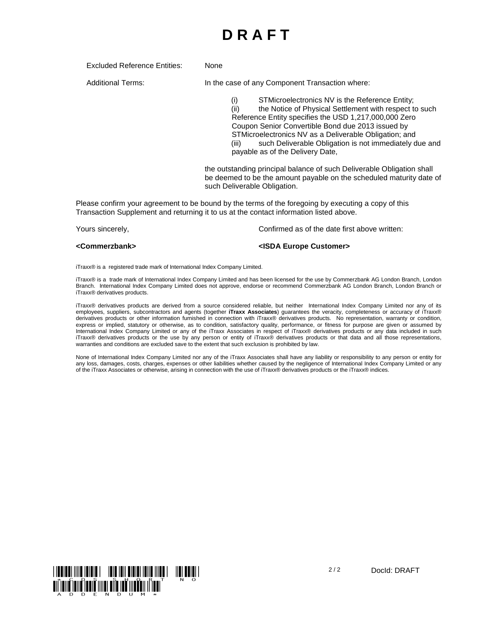#### Excluded Reference Entities: None

Additional Terms: In the case of any Component Transaction where:

(i) STMicroelectronics NV is the Reference Entity; (ii) the Notice of Physical Settlement with respect to such Reference Entity specifies the USD 1,217,000,000 Zero Coupon Senior Convertible Bond due 2013 issued by STMicroelectronics NV as a Deliverable Obligation; and (iii) such Deliverable Obligation is not immediately due and payable as of the Delivery Date,

the outstanding principal balance of such Deliverable Obligation shall be deemed to be the amount payable on the scheduled maturity date of such Deliverable Obligation.

Please confirm your agreement to be bound by the terms of the foregoing by executing a copy of this Transaction Supplement and returning it to us at the contact information listed above.

Yours sincerely, Confirmed as of the date first above written:

**<Commerzbank> <ISDA Europe Customer>** 

iTraxx® is a registered trade mark of International Index Company Limited.

iTraxx® is a trade mark of International Index Company Limited and has been licensed for the use by Commerzbank AG London Branch, London Branch. International Index Company Limited does not approve, endorse or recommend Commerzbank AG London Branch, London Branch or iTraxx® derivatives products.

iTraxx® derivatives products are derived from a source considered reliable, but neither International Index Company Limited nor any of its employees, suppliers, subcontractors and agents (together **iTraxx Associates**) guarantees the veracity, completeness or accuracy of iTraxx® derivatives products or other information furnished in connection with iTraxx® derivatives products. No representation, warranty or condition, express or implied, statutory or otherwise, as to condition, satisfactory quality, performance, or fitness for purpose are given or assumed by International Index Company Limited or any of the iTraxx Associates in respect of iTraxx® derivatives products or any data included in such iTraxx® derivatives products or the use by any person or entity of iTraxx® derivatives products or that data and all those representations, warranties and conditions are excluded save to the extent that such exclusion is prohibited by law.

None of International Index Company Limited nor any of the iTraxx Associates shall have any liability or responsibility to any person or entity for any loss, damages, costs, charges, expenses or other liabilities whether caused by the negligence of International Index Company Limited or any of the iTraxx Associates or otherwise, arising in connection with the use of iTraxx® derivatives products or the iTraxx® indices.

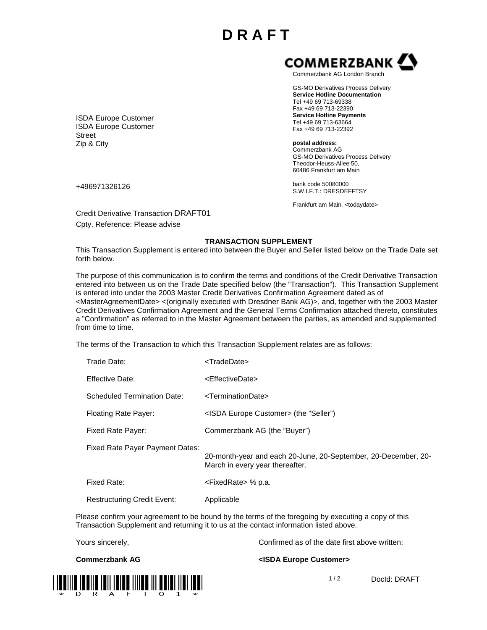

Commerzbank AG London Branch

GS-MO Derivatives Process Delivery **Service Hotline Documentation**  Tel +49 69 713-69338 Fax +49 69 713-22390 **Service Hotline Payments**  Tel +49 69 713-63664 Fax +49 69 713-22392

**postal address:**  Commerzbank AG GS-MO Derivatives Process Delivery Theodor-Heuss-Allee 50,

60486 Frankfurt am Main bank code 50080000 S.W.I.F.T.: DRESDEFFTSY

Frankfurt am Main, <todaydate>

ISDA Europe Customer ISDA Europe Customer **Street** Zip & City

+496971326126

Credit Derivative Transaction DRAFT01 Cpty. Reference: Please advise

#### **TRANSACTION SUPPLEMENT**

This Transaction Supplement is entered into between the Buyer and Seller listed below on the Trade Date set forth below.

The purpose of this communication is to confirm the terms and conditions of the Credit Derivative Transaction entered into between us on the Trade Date specified below (the "Transaction"). This Transaction Supplement is entered into under the 2003 Master Credit Derivatives Confirmation Agreement dated as of <MasterAgreementDate> <(originally executed with Dresdner Bank AG)>, and, together with the 2003 Master Credit Derivatives Confirmation Agreement and the General Terms Confirmation attached thereto, constitutes a "Confirmation" as referred to in the Master Agreement between the parties, as amended and supplemented from time to time.

The terms of the Transaction to which this Transaction Supplement relates are as follows:

| Trade Date:                     | <tradedate></tradedate>                                                                           |
|---------------------------------|---------------------------------------------------------------------------------------------------|
| Effective Date:                 | <effectivedate></effectivedate>                                                                   |
| Scheduled Termination Date:     | <terminationdate></terminationdate>                                                               |
| Floating Rate Payer:            | <isda customer="" europe=""> (the "Seller")</isda>                                                |
| Fixed Rate Payer:               | Commerzbank AG (the "Buyer")                                                                      |
| Fixed Rate Payer Payment Dates: | 20-month-year and each 20-June, 20-September, 20-December, 20-<br>March in every year thereafter. |
| Fixed Rate:                     | <fixedrate> % p.a.</fixedrate>                                                                    |
| Restructuring Credit Event:     | Applicable                                                                                        |

Please confirm your agreement to be bound by the terms of the foregoing by executing a copy of this Transaction Supplement and returning it to us at the contact information listed above.

Yours sincerely, The Confirmed as of the date first above written:

**Commerzbank AG <ISDA Europe Customer>** 

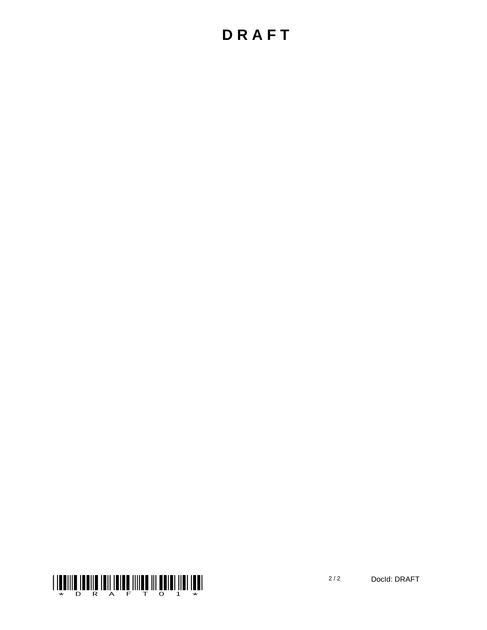

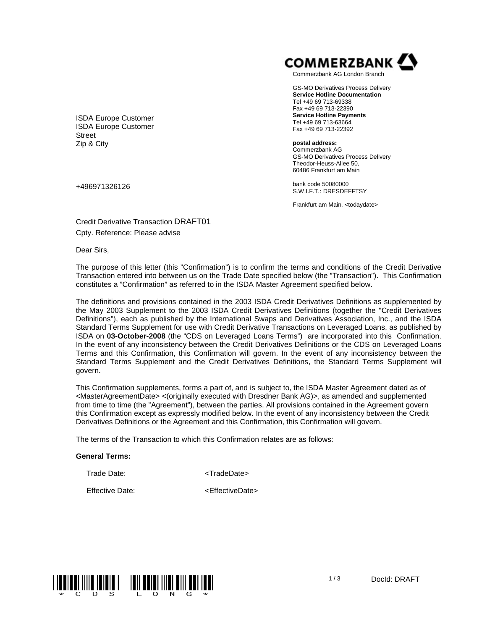

Commerzbank AG London Branch

GS-MO Derivatives Process Delivery **Service Hotline Documentation**  Tel +49 69 713-69338 Fax +49 69 713-22390 **Service Hotline Payments**  Tel +49 69 713-63664 Fax +49 69 713-22392

#### **postal address:**  Commerzbank AG GS-MO Derivatives Process Delivery Theodor-Heuss-Allee 50, 60486 Frankfurt am Main

bank code 50080000 S.W.I.F.T.: DRESDEFFTSY

Frankfurt am Main, <todaydate>

ISDA Europe Customer ISDA Europe Customer **Street** Zip & City

+496971326126

Credit Derivative Transaction DRAFT01 Cpty. Reference: Please advise

Dear Sirs,

The purpose of this letter (this "Confirmation") is to confirm the terms and conditions of the Credit Derivative Transaction entered into between us on the Trade Date specified below (the "Transaction"). This Confirmation constitutes a "Confirmation" as referred to in the ISDA Master Agreement specified below.

The definitions and provisions contained in the 2003 ISDA Credit Derivatives Definitions as supplemented by the May 2003 Supplement to the 2003 ISDA Credit Derivatives Definitions (together the "Credit Derivatives Definitions"), each as published by the International Swaps and Derivatives Association, Inc., and the ISDA Standard Terms Supplement for use with Credit Derivative Transactions on Leveraged Loans, as published by ISDA on **03-October-2008** (the "CDS on Leveraged Loans Terms") are incorporated into this Confirmation. In the event of any inconsistency between the Credit Derivatives Definitions or the CDS on Leveraged Loans Terms and this Confirmation, this Confirmation will govern. In the event of any inconsistency between the Standard Terms Supplement and the Credit Derivatives Definitions, the Standard Terms Supplement will govern.

This Confirmation supplements, forms a part of, and is subject to, the ISDA Master Agreement dated as of <MasterAgreementDate> <(originally executed with Dresdner Bank AG)>, as amended and supplemented from time to time (the "Agreement"), between the parties. All provisions contained in the Agreement govern this Confirmation except as expressly modified below. In the event of any inconsistency between the Credit Derivatives Definitions or the Agreement and this Confirmation, this Confirmation will govern.

The terms of the Transaction to which this Confirmation relates are as follows:

#### **General Terms:**

| Trade Date:     | <tradedate></tradedate>         |
|-----------------|---------------------------------|
| Effective Date: | <effectivedate></effectivedate> |

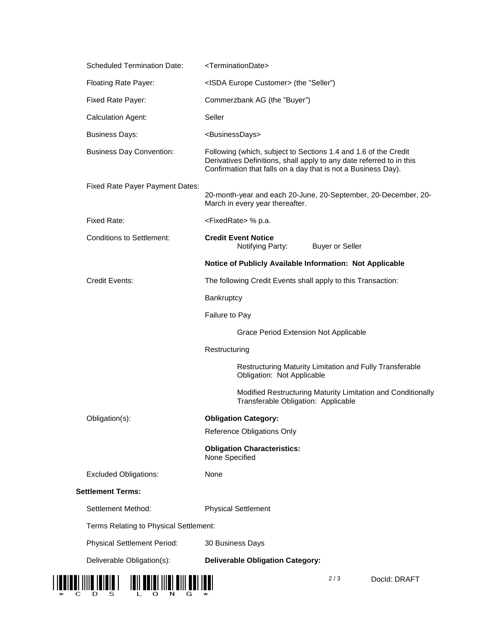| <b>Scheduled Termination Date:</b>     | <terminationdate></terminationdate>                                                                                                                                                                      |  |  |
|----------------------------------------|----------------------------------------------------------------------------------------------------------------------------------------------------------------------------------------------------------|--|--|
| <b>Floating Rate Payer:</b>            | <isda customer="" europe=""> (the "Seller")</isda>                                                                                                                                                       |  |  |
| Fixed Rate Payer:                      | Commerzbank AG (the "Buyer")                                                                                                                                                                             |  |  |
| <b>Calculation Agent:</b>              | Seller                                                                                                                                                                                                   |  |  |
| <b>Business Days:</b>                  | <businessdays></businessdays>                                                                                                                                                                            |  |  |
| <b>Business Day Convention:</b>        | Following (which, subject to Sections 1.4 and 1.6 of the Credit<br>Derivatives Definitions, shall apply to any date referred to in this<br>Confirmation that falls on a day that is not a Business Day). |  |  |
| Fixed Rate Payer Payment Dates:        | 20-month-year and each 20-June, 20-September, 20-December, 20-<br>March in every year thereafter.                                                                                                        |  |  |
| <b>Fixed Rate:</b>                     | <fixedrate> % p.a.</fixedrate>                                                                                                                                                                           |  |  |
| <b>Conditions to Settlement:</b>       | <b>Credit Event Notice</b><br><b>Buyer or Seller</b><br>Notifying Party:                                                                                                                                 |  |  |
|                                        | Notice of Publicly Available Information: Not Applicable                                                                                                                                                 |  |  |
| <b>Credit Events:</b>                  | The following Credit Events shall apply to this Transaction:                                                                                                                                             |  |  |
|                                        | Bankruptcy                                                                                                                                                                                               |  |  |
|                                        | Failure to Pay                                                                                                                                                                                           |  |  |
|                                        | Grace Period Extension Not Applicable                                                                                                                                                                    |  |  |
|                                        | Restructuring                                                                                                                                                                                            |  |  |
|                                        | Restructuring Maturity Limitation and Fully Transferable<br>Obligation: Not Applicable                                                                                                                   |  |  |
|                                        | Modified Restructuring Maturity Limitation and Conditionally<br>Transferable Obligation: Applicable                                                                                                      |  |  |
| Obligation(s):                         | <b>Obligation Category:</b>                                                                                                                                                                              |  |  |
|                                        | Reference Obligations Only                                                                                                                                                                               |  |  |
|                                        | <b>Obligation Characteristics:</b><br>None Specified                                                                                                                                                     |  |  |
| <b>Excluded Obligations:</b>           | None                                                                                                                                                                                                     |  |  |
| <b>Settlement Terms:</b>               |                                                                                                                                                                                                          |  |  |
| Settlement Method:                     | <b>Physical Settlement</b>                                                                                                                                                                               |  |  |
| Terms Relating to Physical Settlement: |                                                                                                                                                                                                          |  |  |
| <b>Physical Settlement Period:</b>     | 30 Business Days                                                                                                                                                                                         |  |  |
| Deliverable Obligation(s):             | <b>Deliverable Obligation Category:</b>                                                                                                                                                                  |  |  |
|                                        | 2/3<br>Docld: DRAFT                                                                                                                                                                                      |  |  |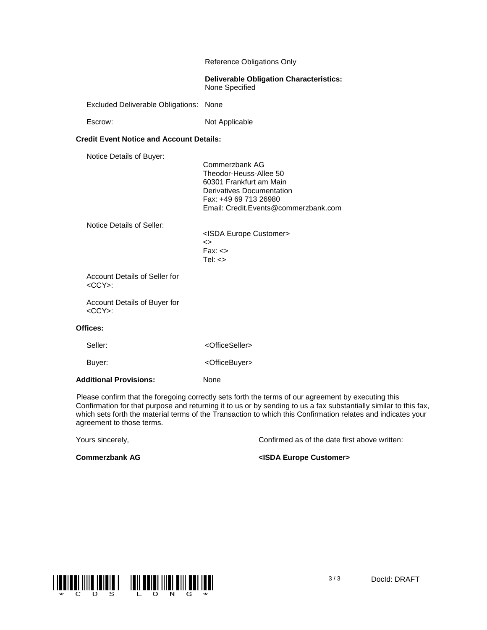#### Reference Obligations Only

#### **Deliverable Obligation Characteristics:**  None Specified

Excluded Deliverable Obligations: None

Escrow: Not Applicable

#### **Credit Event Notice and Account Details:**

Notice Details of Buyer:

 Commerzbank AG Theodor-Heuss-Allee 50 60301 Frankfurt am Main Derivatives Documentation Fax: +49 69 713 26980 Email: Credit.Events@commerzbank.com

Notice Details of Seller:

 <ISDA Europe Customer>  $\iff$   $\iff$   $\iff$   $\iff$  $Fax: <$ Tel:  $\lt$ >

Account Details of Seller for <CCY>:

Account Details of Buyer for <CCY>:

#### **Offices:**

| Seller: | <officeseller></officeseller> |
|---------|-------------------------------|
|         |                               |

Buyer: <OfficeBuyer>

#### **Additional Provisions:** None

Please confirm that the foregoing correctly sets forth the terms of our agreement by executing this Confirmation for that purpose and returning it to us or by sending to us a fax substantially similar to this fax, which sets forth the material terms of the Transaction to which this Confirmation relates and indicates your agreement to those terms.

Yours sincerely, The Confirmed as of the date first above written:

**Commerzbank AG <ISDA Europe Customer>** 

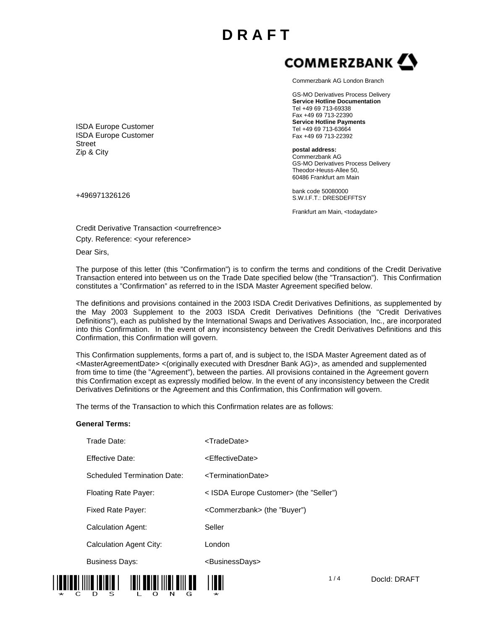

Commerzbank AG London Branch

GS-MO Derivatives Process Delivery **Service Hotline Documentation**  Tel +49 69 713-69338 Fax +49 69 713-22390 **Service Hotline Payments**  Tel +49 69 713-63664 Fax +49 69 713-22392

**postal address:** 

Commerzbank AG GS-MO Derivatives Process Delivery Theodor-Heuss-Allee 50, 60486 Frankfurt am Main

bank code 50080000 S.W.I.F.T.: DRESDEFFTSY

Frankfurt am Main, <todaydate>

ISDA Europe Customer ISDA Europe Customer Street Zip & City

Credit Derivative Transaction <ourrefrence>

Cpty. Reference: <your reference>

Dear Sirs,

+496971326126

The purpose of this letter (this "Confirmation") is to confirm the terms and conditions of the Credit Derivative Transaction entered into between us on the Trade Date specified below (the "Transaction"). This Confirmation constitutes a "Confirmation" as referred to in the ISDA Master Agreement specified below.

The definitions and provisions contained in the 2003 ISDA Credit Derivatives Definitions, as supplemented by the May 2003 Supplement to the 2003 ISDA Credit Derivatives Definitions (the "Credit Derivatives Definitions"), each as published by the International Swaps and Derivatives Association, Inc., are incorporated into this Confirmation. In the event of any inconsistency between the Credit Derivatives Definitions and this Confirmation, this Confirmation will govern.

This Confirmation supplements, forms a part of, and is subject to, the ISDA Master Agreement dated as of <MasterAgreementDate> <(originally executed with Dresdner Bank AG)>, as amended and supplemented from time to time (the "Agreement"), between the parties. All provisions contained in the Agreement govern this Confirmation except as expressly modified below. In the event of any inconsistency between the Credit Derivatives Definitions or the Agreement and this Confirmation, this Confirmation will govern.

The terms of the Transaction to which this Confirmation relates are as follows:

#### **General Terms:**

| Trade Date:                 | <tradedate></tradedate>                   |
|-----------------------------|-------------------------------------------|
| Effective Date:             | <effectivedate></effectivedate>           |
| Scheduled Termination Date: | <terminationdate></terminationdate>       |
| Floating Rate Payer:        | < ISDA Europe Customer> (the "Seller")    |
| Fixed Rate Payer:           | <commerzbank> (the "Buyer")</commerzbank> |
| Calculation Agent:          | Seller                                    |
| Calculation Agent City:     | London                                    |
| <b>Business Days:</b>       | <businessdays></businessdays>             |
|                             |                                           |

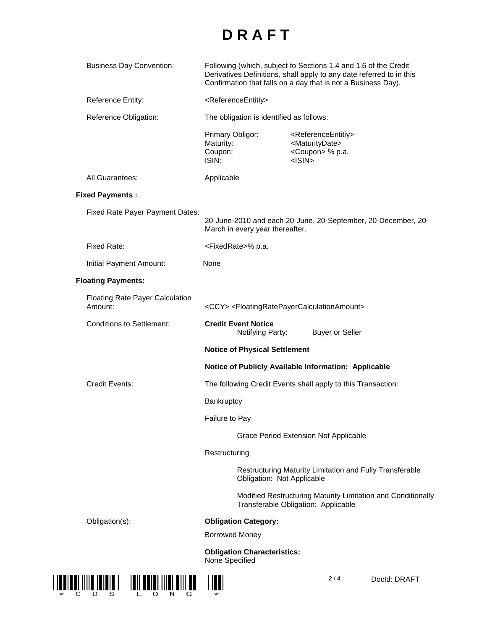| <b>Business Day Convention:</b>                   | Following (which, subject to Sections 1.4 and 1.6 of the Credit<br>Derivatives Definitions, shall apply to any date referred to in this<br>Confirmation that falls on a day that is not a Business Day). |                                     |              |                                                                                                      |
|---------------------------------------------------|----------------------------------------------------------------------------------------------------------------------------------------------------------------------------------------------------------|-------------------------------------|--------------|------------------------------------------------------------------------------------------------------|
| <b>Reference Entity:</b>                          | <referenceentitiy></referenceentitiy>                                                                                                                                                                    |                                     |              |                                                                                                      |
| Reference Obligation:                             | The obligation is identified as follows:                                                                                                                                                                 |                                     |              |                                                                                                      |
|                                                   | Primary Obligor:<br>Maturity:<br>Coupon:<br>ISIN:                                                                                                                                                        |                                     | $<$ ISIN $>$ | <referenceentitiy><br/><maturitydate><br/><coupon> % p.a.</coupon></maturitydate></referenceentitiy> |
| All Guarantees:                                   | Applicable                                                                                                                                                                                               |                                     |              |                                                                                                      |
| <b>Fixed Payments:</b>                            |                                                                                                                                                                                                          |                                     |              |                                                                                                      |
| Fixed Rate Payer Payment Dates:                   | 20-June-2010 and each 20-June, 20-September, 20-December, 20-<br>March in every year thereafter.<br><fixedrate>% p.a.</fixedrate>                                                                        |                                     |              |                                                                                                      |
| <b>Fixed Rate:</b>                                |                                                                                                                                                                                                          |                                     |              |                                                                                                      |
| Initial Payment Amount:                           | None                                                                                                                                                                                                     |                                     |              |                                                                                                      |
| <b>Floating Payments:</b>                         |                                                                                                                                                                                                          |                                     |              |                                                                                                      |
| <b>Floating Rate Payer Calculation</b><br>Amount: | <ccy> <floatingratepayercalculationamount><br/><b>Credit Event Notice</b><br/><b>Buyer or Seller</b><br/>Notifying Party:</floatingratepayercalculationamount></ccy>                                     |                                     |              |                                                                                                      |
| <b>Conditions to Settlement:</b>                  |                                                                                                                                                                                                          |                                     |              |                                                                                                      |
|                                                   | <b>Notice of Physical Settlement</b>                                                                                                                                                                     |                                     |              |                                                                                                      |
|                                                   |                                                                                                                                                                                                          |                                     |              | Notice of Publicly Available Information: Applicable                                                 |
| <b>Credit Events:</b>                             | The following Credit Events shall apply to this Transaction:                                                                                                                                             |                                     |              |                                                                                                      |
|                                                   | <b>Bankruptcy</b>                                                                                                                                                                                        |                                     |              |                                                                                                      |
|                                                   | <b>Failure to Pay</b>                                                                                                                                                                                    |                                     |              |                                                                                                      |
|                                                   |                                                                                                                                                                                                          |                                     |              | Grace Period Extension Not Applicable                                                                |
|                                                   | Restructuring                                                                                                                                                                                            |                                     |              |                                                                                                      |
|                                                   |                                                                                                                                                                                                          | Obligation: Not Applicable          |              | Restructuring Maturity Limitation and Fully Transferable                                             |
|                                                   |                                                                                                                                                                                                          | Transferable Obligation: Applicable |              | Modified Restructuring Maturity Limitation and Conditionally                                         |
| Obligation(s):                                    |                                                                                                                                                                                                          | <b>Obligation Category:</b>         |              |                                                                                                      |
|                                                   | <b>Borrowed Money</b>                                                                                                                                                                                    |                                     |              |                                                                                                      |
|                                                   | None Specified                                                                                                                                                                                           | <b>Obligation Characteristics:</b>  |              |                                                                                                      |
|                                                   |                                                                                                                                                                                                          |                                     |              |                                                                                                      |

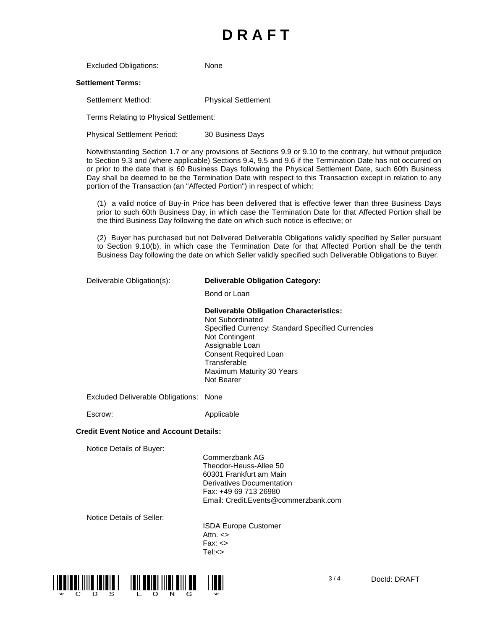Excluded Obligations: None

#### **Settlement Terms:**

Settlement Method: Physical Settlement

Terms Relating to Physical Settlement:

Physical Settlement Period: 30 Business Days

Notwithstanding Section 1.7 or any provisions of Sections 9.9 or 9.10 to the contrary, but without prejudice to Section 9.3 and (where applicable) Sections 9.4, 9.5 and 9.6 if the Termination Date has not occurred on or prior to the date that is 60 Business Days following the Physical Settlement Date, such 60th Business Day shall be deemed to be the Termination Date with respect to this Transaction except in relation to any portion of the Transaction (an "Affected Portion") in respect of which:

(1) a valid notice of Buy-in Price has been delivered that is effective fewer than three Business Days prior to such 60th Business Day, in which case the Termination Date for that Affected Portion shall be the third Business Day following the date on which such notice is effective; or

(2) Buyer has purchased but not Delivered Deliverable Obligations validly specified by Seller pursuant to Section 9.10(b), in which case the Termination Date for that Affected Portion shall be the tenth Business Day following the date on which Seller validly specified such Deliverable Obligations to Buyer.

| Deliverable Obligation(s): | <b>Deliverable Obligation Category:</b> |
|----------------------------|-----------------------------------------|
|                            |                                         |

Bond or Loan

**Deliverable Obligation Characteristics:**  Not Subordinated Specified Currency: Standard Specified Currencies Not Contingent Assignable Loan Consent Required Loan **Transferable** Maximum Maturity 30 Years Not Bearer

Excluded Deliverable Obligations: None

Escrow: Applicable

#### **Credit Event Notice and Account Details:**

Notice Details of Buyer:

 Commerzbank AG Theodor-Heuss-Allee 50 60301 Frankfurt am Main Derivatives Documentation Fax: +49 69 713 26980 Email: Credit.Events@commerzbank.com

Notice Details of Seller:

 ISDA Europe Customer Attn.  $\leq$  Fax: <> Tel:<>

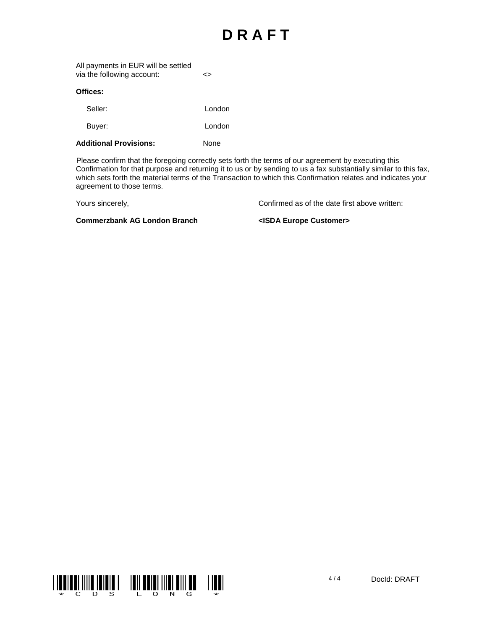All payments in EUR will be settled via the following account: <>

#### **Offices:**

| Seller: | London |
|---------|--------|
| Buyer:  | London |

**Additional Provisions:** None

Please confirm that the foregoing correctly sets forth the terms of our agreement by executing this Confirmation for that purpose and returning it to us or by sending to us a fax substantially similar to this fax, which sets forth the material terms of the Transaction to which this Confirmation relates and indicates your agreement to those terms.

Yours sincerely, Confirmed as of the date first above written:

**Commerzbank AG London Branch <ISDA Europe Customer>** 

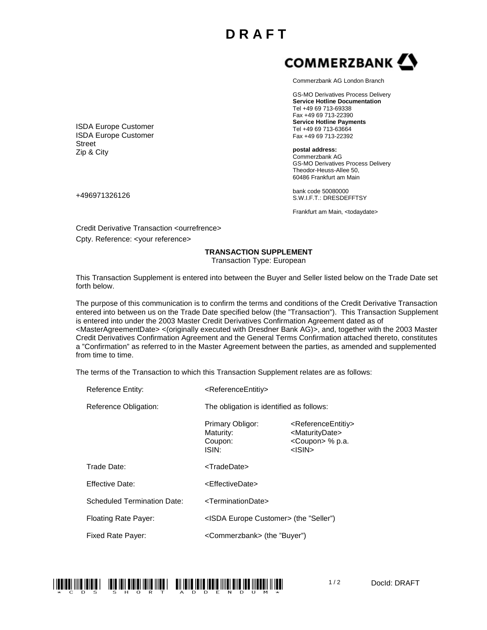

Commerzbank AG London Branch

GS-MO Derivatives Process Delivery **Service Hotline Documentation**  Tel +49 69 713-69338 Fax +49 69 713-22390 **Service Hotline Payments**  Tel +49 69 713-63664 Fax +49 69 713-22392

**postal address:** 

Commerzbank AG GS-MO Derivatives Process Delivery Theodor-Heuss-Allee 50, 60486 Frankfurt am Main

bank code 50080000 S.W.I.F.T.: DRESDEFFTSY

Frankfurt am Main, <todaydate>

ISDA Europe Customer ISDA Europe Customer Street Zip & City

+496971326126

Credit Derivative Transaction <ourrefrence> Cpty. Reference: <your reference>

#### **TRANSACTION SUPPLEMENT**

Transaction Type: European

This Transaction Supplement is entered into between the Buyer and Seller listed below on the Trade Date set forth below.

The purpose of this communication is to confirm the terms and conditions of the Credit Derivative Transaction entered into between us on the Trade Date specified below (the "Transaction"). This Transaction Supplement is entered into under the 2003 Master Credit Derivatives Confirmation Agreement dated as of <MasterAgreementDate> <(originally executed with Dresdner Bank AG)>, and, together with the 2003 Master Credit Derivatives Confirmation Agreement and the General Terms Confirmation attached thereto, constitutes a "Confirmation" as referred to in the Master Agreement between the parties, as amended and supplemented from time to time.

The terms of the Transaction to which this Transaction Supplement relates are as follows:

| Reference Entity:           | <referenceentitiy></referenceentitiy>              |                                                                                                                                                 |
|-----------------------------|----------------------------------------------------|-------------------------------------------------------------------------------------------------------------------------------------------------|
| Reference Obligation:       | The obligation is identified as follows:           |                                                                                                                                                 |
|                             | Primary Obligor:<br>Maturity:<br>Coupon:<br>ISIN:  | <referenceentitiy><br/><maturitydate><br/><coupon> % p.a.<br/><math>&lt;</math>ISIN<math>&gt;</math></coupon></maturitydate></referenceentitiy> |
| Trade Date:                 | <tradedate></tradedate>                            |                                                                                                                                                 |
| Effective Date:             | <effectivedate></effectivedate>                    |                                                                                                                                                 |
| Scheduled Termination Date: | <terminationdate></terminationdate>                |                                                                                                                                                 |
| <b>Floating Rate Payer:</b> | <isda customer="" europe=""> (the "Seller")</isda> |                                                                                                                                                 |
| Fixed Rate Payer:           | <commerzbank> (the "Buyer")</commerzbank>          |                                                                                                                                                 |

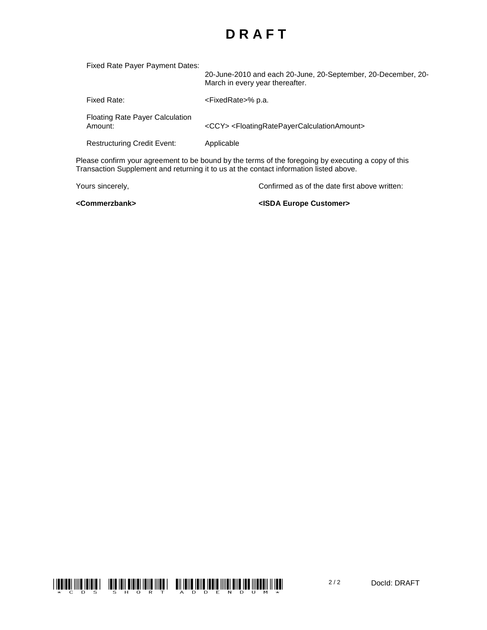| Fixed Rate Payer Payment Dates:                   | 20-June-2010 and each 20-June, 20-September, 20-December, 20-<br>March in every year thereafter. |
|---------------------------------------------------|--------------------------------------------------------------------------------------------------|
| Fixed Rate:                                       | <fixedrate>% p.a.</fixedrate>                                                                    |
| <b>Floating Rate Payer Calculation</b><br>Amount: | <ccy> <floatingratepayercalculationamount></floatingratepayercalculationamount></ccy>            |
| <b>Restructuring Credit Event:</b>                | Applicable                                                                                       |
|                                                   |                                                                                                  |

Please confirm your agreement to be bound by the terms of the foregoing by executing a copy of this Transaction Supplement and returning it to us at the contact information listed above.

Yours sincerely, The Confirmed as of the date first above written:

**<Commerzbank> <ISDA Europe Customer>** 

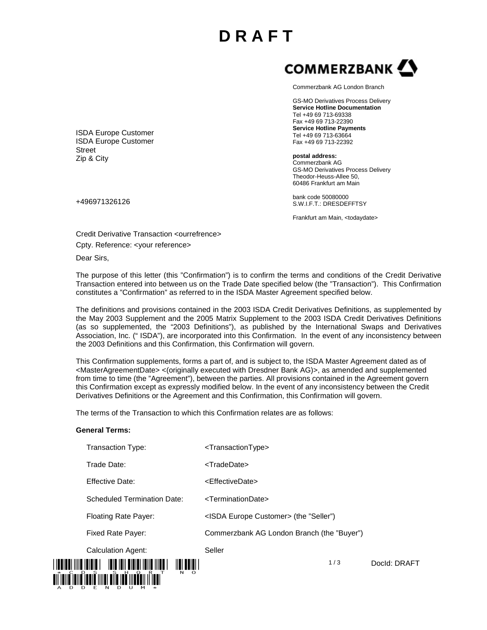

Commerzbank AG London Branch

GS-MO Derivatives Process Delivery **Service Hotline Documentation**  Tel +49 69 713-69338 Fax +49 69 713-22390 **Service Hotline Payments**  Tel +49 69 713-63664 Fax +49 69 713-22392

**postal address:**  Commerzbank AG GS-MO Derivatives Process Delivery Theodor-Heuss-Allee 50, 60486 Frankfurt am Main

bank code 50080000 S.W.I.F.T.: DRESDEFFTSY

Frankfurt am Main, <todaydate>

ISDA Europe Customer ISDA Europe Customer Street Zip & City

Credit Derivative Transaction <ourrefrence> Cpty. Reference: <your reference>

Dear Sirs,

+496971326126

The purpose of this letter (this "Confirmation") is to confirm the terms and conditions of the Credit Derivative Transaction entered into between us on the Trade Date specified below (the "Transaction"). This Confirmation constitutes a "Confirmation" as referred to in the ISDA Master Agreement specified below.

The definitions and provisions contained in the 2003 ISDA Credit Derivatives Definitions, as supplemented by the May 2003 Supplement and the 2005 Matrix Supplement to the 2003 ISDA Credit Derivatives Definitions (as so supplemented, the "2003 Definitions"), as published by the International Swaps and Derivatives Association, Inc. (" ISDA"), are incorporated into this Confirmation. In the event of any inconsistency between the 2003 Definitions and this Confirmation, this Confirmation will govern.

This Confirmation supplements, forms a part of, and is subject to, the ISDA Master Agreement dated as of <MasterAgreementDate> <(originally executed with Dresdner Bank AG)>, as amended and supplemented from time to time (the "Agreement"), between the parties. All provisions contained in the Agreement govern this Confirmation except as expressly modified below. In the event of any inconsistency between the Credit Derivatives Definitions or the Agreement and this Confirmation, this Confirmation will govern.

The terms of the Transaction to which this Confirmation relates are as follows:

#### **General Terms:**

| Transaction Type:                                                    | <transactiontype></transactiontype>                |     |     |
|----------------------------------------------------------------------|----------------------------------------------------|-----|-----|
| Trade Date:                                                          | <tradedate></tradedate>                            |     |     |
| <b>Effective Date:</b>                                               | <effectivedate></effectivedate>                    |     |     |
| <b>Scheduled Termination Date:</b>                                   | <terminationdate></terminationdate>                |     |     |
| <b>Floating Rate Payer:</b>                                          | <isda customer="" europe=""> (the "Seller")</isda> |     |     |
| Fixed Rate Payer:                                                    | Commerzbank AG London Branch (the "Buyer")         |     |     |
| <b>Calculation Agent:</b>                                            | Seller                                             |     |     |
| IIII I<br><u> 1010 1011 011101 11110 11101 1</u><br><u>HII IIIII</u> |                                                    | 1/3 | Doc |



Id: DRAFT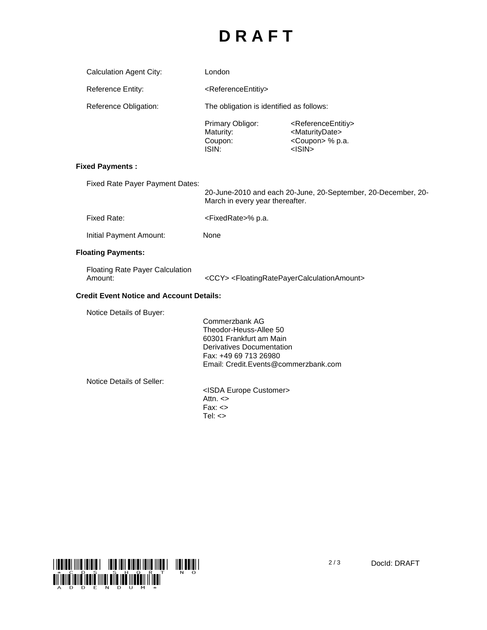| <b>Calculation Agent City:</b>                        | London                                                                                                                                                             |                                                                                                                                                 |
|-------------------------------------------------------|--------------------------------------------------------------------------------------------------------------------------------------------------------------------|-------------------------------------------------------------------------------------------------------------------------------------------------|
| Reference Entity:                                     | <referenceentitiy></referenceentitiy>                                                                                                                              |                                                                                                                                                 |
| Reference Obligation:                                 | The obligation is identified as follows:                                                                                                                           |                                                                                                                                                 |
|                                                       | Primary Obligor:<br>Maturity:<br>Coupon:<br>ISIN:                                                                                                                  | <referenceentitiy><br/><maturitydate><br/><coupon> % p.a.<br/><math>&lt;</math>ISIN<math>&gt;</math></coupon></maturitydate></referenceentitiy> |
| <b>Fixed Payments:</b>                                |                                                                                                                                                                    |                                                                                                                                                 |
| Fixed Rate Payer Payment Dates:                       | March in every year thereafter.                                                                                                                                    | 20-June-2010 and each 20-June, 20-September, 20-December, 20-                                                                                   |
| Fixed Rate:                                           | <fixedrate>% p.a.</fixedrate>                                                                                                                                      |                                                                                                                                                 |
| Initial Payment Amount:                               | None                                                                                                                                                               |                                                                                                                                                 |
| <b>Floating Payments:</b>                             |                                                                                                                                                                    |                                                                                                                                                 |
| <b>Floating Rate Payer Calculation</b><br>Amount:     | <ccy> <floatingratepayercalculationamount></floatingratepayercalculationamount></ccy>                                                                              |                                                                                                                                                 |
| <b>Credit Event Notice and Account Details:</b>       |                                                                                                                                                                    |                                                                                                                                                 |
| Notice Details of Buyer:<br>Notice Details of Seller: | Commerzbank AG<br>Theodor-Heuss-Allee 50<br>60301 Frankfurt am Main<br>Derivatives Documentation<br>Fax: +49 69 713 26980<br>Email: Credit. Events@commerzbank.com |                                                                                                                                                 |
|                                                       | <isda customer="" europe=""><br/>Attn. <math>\leq</math><br/><math>Fax: \leq</math><br/>Tel: <math>\lt</math></isda>                                               |                                                                                                                                                 |

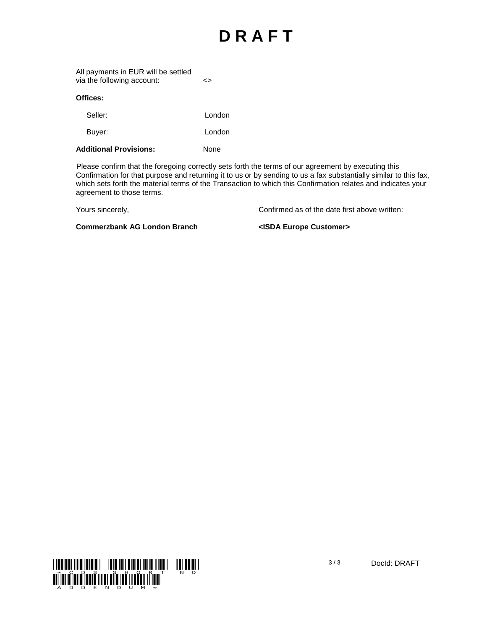| All payments in EUR will be settled |    |
|-------------------------------------|----|
| via the following account:          | <> |

#### **Offices:**

| Seller: | London |
|---------|--------|
| Buyer:  | London |

**Additional Provisions:** None

Please confirm that the foregoing correctly sets forth the terms of our agreement by executing this Confirmation for that purpose and returning it to us or by sending to us a fax substantially similar to this fax, which sets forth the material terms of the Transaction to which this Confirmation relates and indicates your agreement to those terms.

Yours sincerely, The state of the date first above written:

**Commerzbank AG London Branch <ISDA Europe Customer>** 

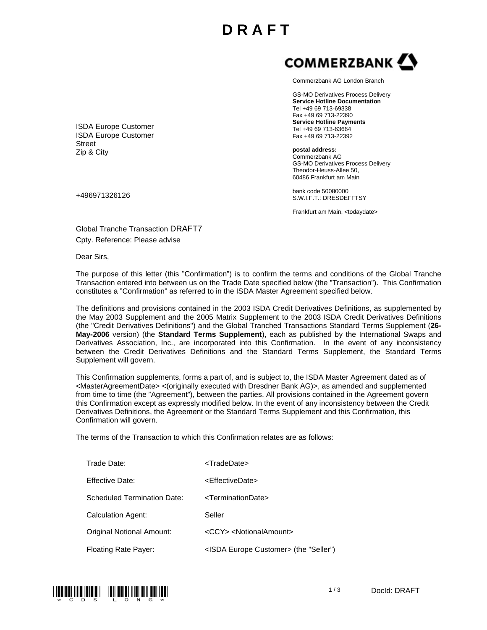

Commerzbank AG London Branch

GS-MO Derivatives Process Delivery **Service Hotline Documentation**  Tel +49 69 713-69338 Fax +49 69 713-22390 **Service Hotline Payments**  Tel +49 69 713-63664 Fax +49 69 713-22392

**postal address:** 

Commerzbank AG GS-MO Derivatives Process Delivery Theodor-Heuss-Allee 50, 60486 Frankfurt am Main

bank code 50080000 S.W.I.F.T.: DRESDEFFTSY

Frankfurt am Main, <todaydate>

ISDA Europe Customer ISDA Europe Customer Street Zip & City

Global Tranche Transaction DRAFT7 Cpty. Reference: Please advise

Dear Sirs,

+496971326126

The purpose of this letter (this "Confirmation") is to confirm the terms and conditions of the Global Tranche Transaction entered into between us on the Trade Date specified below (the "Transaction"). This Confirmation constitutes a "Confirmation" as referred to in the ISDA Master Agreement specified below.

The definitions and provisions contained in the 2003 ISDA Credit Derivatives Definitions, as supplemented by the May 2003 Supplement and the 2005 Matrix Supplement to the 2003 ISDA Credit Derivatives Definitions (the "Credit Derivatives Definitions") and the Global Tranched Transactions Standard Terms Supplement (**26- May-2006** version) (the **Standard Terms Supplement**), each as published by the International Swaps and Derivatives Association, Inc., are incorporated into this Confirmation. In the event of any inconsistency between the Credit Derivatives Definitions and the Standard Terms Supplement, the Standard Terms Supplement will govern.

This Confirmation supplements, forms a part of, and is subject to, the ISDA Master Agreement dated as of <MasterAgreementDate> <(originally executed with Dresdner Bank AG)>, as amended and supplemented from time to time (the "Agreement"), between the parties. All provisions contained in the Agreement govern this Confirmation except as expressly modified below. In the event of any inconsistency between the Credit Derivatives Definitions, the Agreement or the Standard Terms Supplement and this Confirmation, this Confirmation will govern.

The terms of the Transaction to which this Confirmation relates are as follows:

| Trade Date:                      | <tradedate></tradedate>                            |
|----------------------------------|----------------------------------------------------|
| Effective Date:                  | <effectivedate></effectivedate>                    |
| Scheduled Termination Date:      | <terminationdate></terminationdate>                |
| Calculation Agent:               | Seller                                             |
| <b>Original Notional Amount:</b> | <ccy> <notionalamount></notionalamount></ccy>      |
| Floating Rate Payer:             | <isda customer="" europe=""> (the "Seller")</isda> |

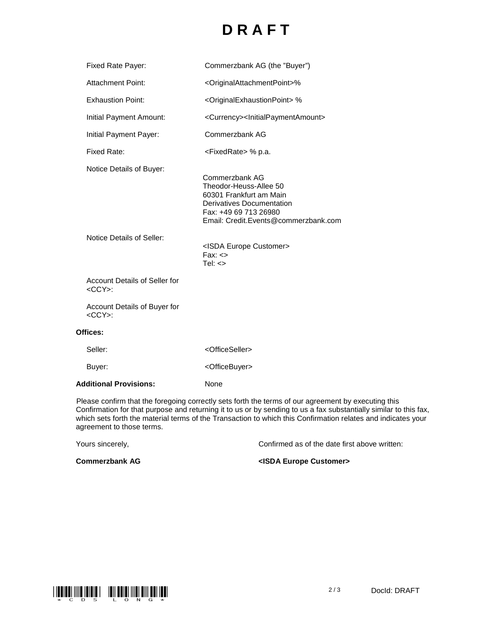| Fixed Rate Payer:                              | Commerzbank AG (the "Buyer")                                                                                                                                              |
|------------------------------------------------|---------------------------------------------------------------------------------------------------------------------------------------------------------------------------|
| <b>Attachment Point:</b>                       | <originalattachmentpoint>%</originalattachmentpoint>                                                                                                                      |
| <b>Exhaustion Point:</b>                       | <originalexhaustionpoint> %</originalexhaustionpoint>                                                                                                                     |
| Initial Payment Amount:                        | <currency><initialpaymentamount></initialpaymentamount></currency>                                                                                                        |
| Initial Payment Payer:                         | Commerzbank AG                                                                                                                                                            |
| <b>Fixed Rate:</b>                             | <fixedrate> % p.a.</fixedrate>                                                                                                                                            |
| Notice Details of Buyer:                       | Commerzbank AG<br>Theodor-Heuss-Allee 50<br>60301 Frankfurt am Main<br><b>Derivatives Documentation</b><br>Fax: +49 69 713 26980<br>Email: Credit. Events@commerzbank.com |
| <b>Notice Details of Seller:</b>               | <isda customer="" europe=""><br/><math>Fax: \leq</math><br/>Tel: &lt;</isda>                                                                                              |
| Account Details of Seller for<br>$<$ CCY $>$ : |                                                                                                                                                                           |
| Account Details of Buyer for<br>$<$ CCY $>$ :  |                                                                                                                                                                           |
| Offices:                                       |                                                                                                                                                                           |
| Seller:                                        | <officeseller></officeseller>                                                                                                                                             |
| Buyer:                                         | <officebuyer></officebuyer>                                                                                                                                               |
| <b>Additional Provisions:</b>                  | None                                                                                                                                                                      |
|                                                | Dlogge confirm that the foregoing correctly acts farth the terms of our egreement by executing thi                                                                        |

Please confirm that the foregoing correctly sets forth the terms of our agreement by executing this Confirmation for that purpose and returning it to us or by sending to us a fax substantially similar to this fax, which sets forth the material terms of the Transaction to which this Confirmation relates and indicates your agreement to those terms.

Yours sincerely, The continue of the date first above written:

**Commerzbank AG <ISDA Europe Customer>** 

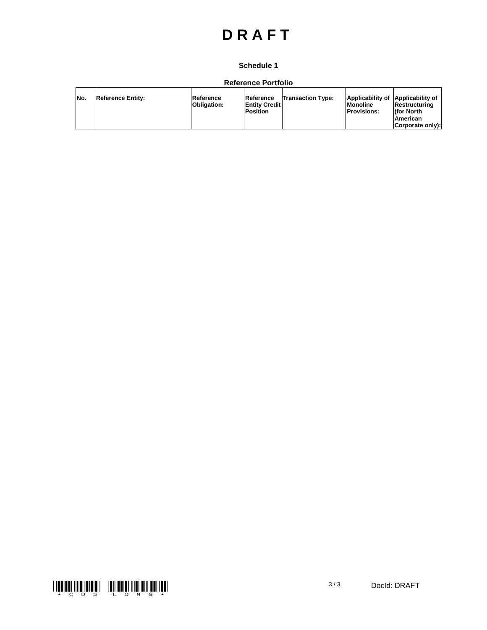#### **Schedule 1**

#### **Reference Portfolio**

| No. | <b>Reference Entity:</b> | Reference<br><b>Obligation:</b> | Reference<br><b>Entity Credit</b><br><b>Position</b> | <b>Transaction Type:</b> | Applicability of Applicability of<br><b>Monoline</b><br><b>Provisions:</b> | Restructuring<br>for North<br>American<br>Corporate only): |
|-----|--------------------------|---------------------------------|------------------------------------------------------|--------------------------|----------------------------------------------------------------------------|------------------------------------------------------------|
|-----|--------------------------|---------------------------------|------------------------------------------------------|--------------------------|----------------------------------------------------------------------------|------------------------------------------------------------|

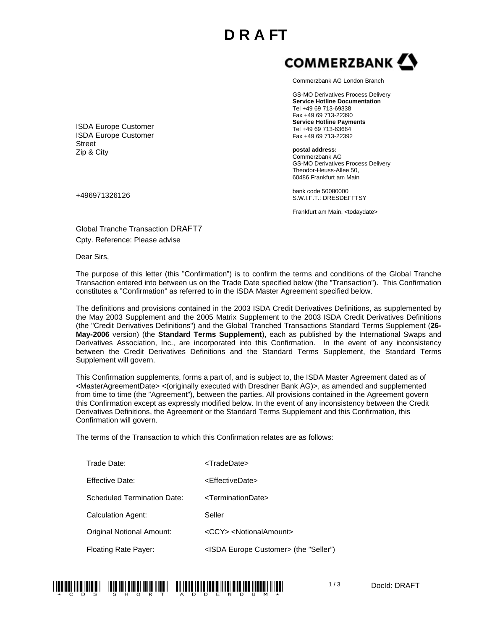

Commerzbank AG London Branch

GS-MO Derivatives Process Delivery **Service Hotline Documentation**  Tel +49 69 713-69338 Fax +49 69 713-22390 **Service Hotline Payments**  Tel +49 69 713-63664 Fax +49 69 713-22392

**postal address:** 

Commerzbank AG GS-MO Derivatives Process Delivery Theodor-Heuss-Allee 50, 60486 Frankfurt am Main

bank code 50080000 S.W.I.F.T.: DRESDEFFTSY

Frankfurt am Main, <todaydate>

ISDA Europe Customer ISDA Europe Customer Street Zip & City

Global Tranche Transaction DRAFT7 Cpty. Reference: Please advise

Dear Sirs,

+496971326126

The purpose of this letter (this "Confirmation") is to confirm the terms and conditions of the Global Tranche Transaction entered into between us on the Trade Date specified below (the "Transaction"). This Confirmation constitutes a "Confirmation" as referred to in the ISDA Master Agreement specified below.

The definitions and provisions contained in the 2003 ISDA Credit Derivatives Definitions, as supplemented by the May 2003 Supplement and the 2005 Matrix Supplement to the 2003 ISDA Credit Derivatives Definitions (the "Credit Derivatives Definitions") and the Global Tranched Transactions Standard Terms Supplement (**26- May-2006** version) (the **Standard Terms Supplement**), each as published by the International Swaps and Derivatives Association, Inc., are incorporated into this Confirmation. In the event of any inconsistency between the Credit Derivatives Definitions and the Standard Terms Supplement, the Standard Terms Supplement will govern.

This Confirmation supplements, forms a part of, and is subject to, the ISDA Master Agreement dated as of <MasterAgreementDate> <(originally executed with Dresdner Bank AG)>, as amended and supplemented from time to time (the "Agreement"), between the parties. All provisions contained in the Agreement govern this Confirmation except as expressly modified below. In the event of any inconsistency between the Credit Derivatives Definitions, the Agreement or the Standard Terms Supplement and this Confirmation, this Confirmation will govern.

The terms of the Transaction to which this Confirmation relates are as follows:

| Trade Date:                 | <tradedate></tradedate>                            |
|-----------------------------|----------------------------------------------------|
| Effective Date:             | <effectivedate></effectivedate>                    |
| Scheduled Termination Date: | <terminationdate></terminationdate>                |
| Calculation Agent:          | Seller                                             |
| Original Notional Amount:   | <ccy> <notionalamount></notionalamount></ccy>      |
| Floating Rate Payer:        | <isda customer="" europe=""> (the "Seller")</isda> |

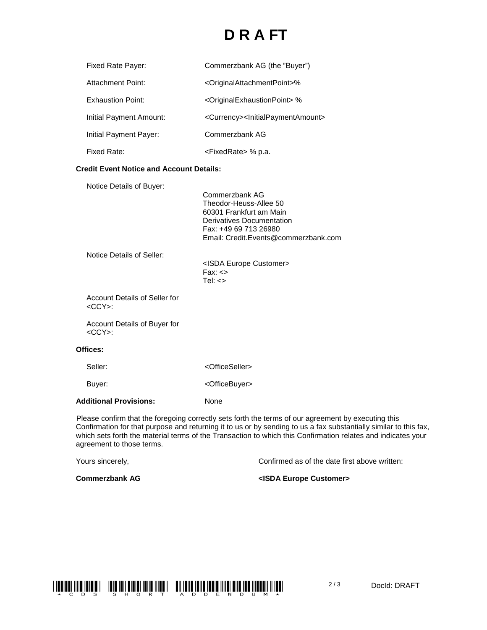| Fixed Rate Payer:       | Commerzbank AG (the "Buyer")                                       |
|-------------------------|--------------------------------------------------------------------|
| Attachment Point:       | <originalattachmentpoint>%</originalattachmentpoint>               |
| Exhaustion Point:       | <originalexhaustionpoint> %</originalexhaustionpoint>              |
| Initial Payment Amount: | <currency><initialpaymentamount></initialpaymentamount></currency> |
| Initial Payment Payer:  | Commerzbank AG                                                     |
| Fixed Rate:             | <fixedrate> % p.a.</fixedrate>                                     |

#### **Credit Event Notice and Account Details:**

Notice Details of Buyer:

| Commerzbank AG                       |
|--------------------------------------|
| Theodor-Heuss-Allee 50               |
| 60301 Frankfurt am Main              |
| Derivatives Documentation            |
| Fax: +49 69 713 26980                |
| Email: Credit.Events@commerzbank.com |
|                                      |

Notice Details of Seller:

 <ISDA Europe Customer>  $Fax: <$ Tel:  $\lt$ >

Account Details of Seller for <CCY>:

Account Details of Buyer for <CCY>:

#### **Offices:**

Seller: <OfficeSeller>

Buyer: <OfficeBuyer>

#### **Additional Provisions:** None

Please confirm that the foregoing correctly sets forth the terms of our agreement by executing this Confirmation for that purpose and returning it to us or by sending to us a fax substantially similar to this fax, which sets forth the material terms of the Transaction to which this Confirmation relates and indicates your agreement to those terms.

Yours sincerely, The Confirmed as of the date first above written:

**Commerzbank AG <ISDA Europe Customer>** 

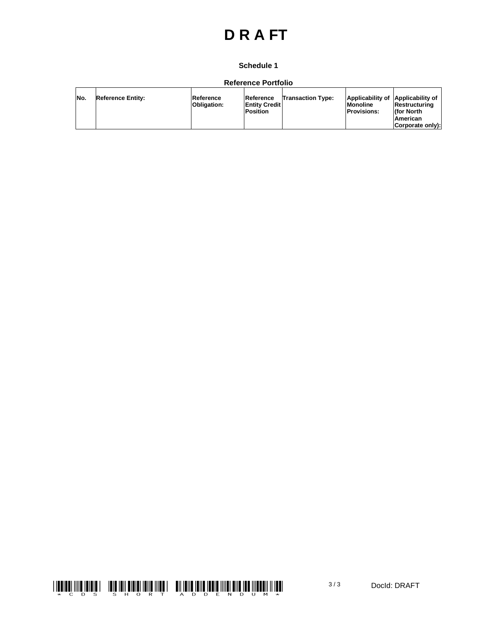#### **Schedule 1**

#### **Reference Portfolio**

| No. | <b>Reference Entity:</b> | Reference<br>Obligation: | Reference<br><b>Entity Credit</b><br>Position | <b>Transaction Type:</b> | Applicability of Applicability of<br><b>Monoline</b><br><b>Provisions:</b> | Restructuring<br>for North<br>American<br>Corporate only): |
|-----|--------------------------|--------------------------|-----------------------------------------------|--------------------------|----------------------------------------------------------------------------|------------------------------------------------------------|
|-----|--------------------------|--------------------------|-----------------------------------------------|--------------------------|----------------------------------------------------------------------------|------------------------------------------------------------|

\*CORAL TIME ADDENOTION AND ANNE ADDENING ADDENING ADDENING ADDENING AND SALE OF DOCID POST DOCAL DRAFT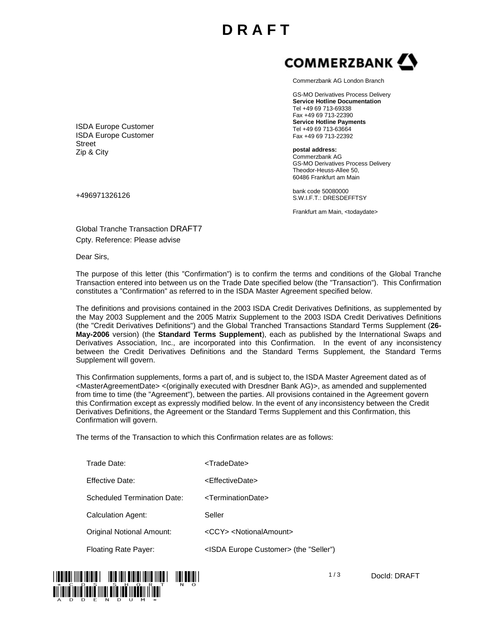

Commerzbank AG London Branch

GS-MO Derivatives Process Delivery **Service Hotline Documentation**  Tel +49 69 713-69338 Fax +49 69 713-22390 **Service Hotline Payments**  Tel +49 69 713-63664 Fax +49 69 713-22392

**postal address:** 

Commerzbank AG GS-MO Derivatives Process Delivery Theodor-Heuss-Allee 50, 60486 Frankfurt am Main

bank code 50080000 S.W.I.F.T.: DRESDEFFTSY

Frankfurt am Main, <todaydate>

ISDA Europe Customer ISDA Europe Customer **Street** Zip & City

Global Tranche Transaction DRAFT7 Cpty. Reference: Please advise

Dear Sirs,

+496971326126

The purpose of this letter (this "Confirmation") is to confirm the terms and conditions of the Global Tranche Transaction entered into between us on the Trade Date specified below (the "Transaction"). This Confirmation constitutes a "Confirmation" as referred to in the ISDA Master Agreement specified below.

The definitions and provisions contained in the 2003 ISDA Credit Derivatives Definitions, as supplemented by the May 2003 Supplement and the 2005 Matrix Supplement to the 2003 ISDA Credit Derivatives Definitions (the "Credit Derivatives Definitions") and the Global Tranched Transactions Standard Terms Supplement (**26- May-2006** version) (the **Standard Terms Supplement**), each as published by the International Swaps and Derivatives Association, Inc., are incorporated into this Confirmation. In the event of any inconsistency between the Credit Derivatives Definitions and the Standard Terms Supplement, the Standard Terms Supplement will govern.

This Confirmation supplements, forms a part of, and is subject to, the ISDA Master Agreement dated as of <MasterAgreementDate> <(originally executed with Dresdner Bank AG)>, as amended and supplemented from time to time (the "Agreement"), between the parties. All provisions contained in the Agreement govern this Confirmation except as expressly modified below. In the event of any inconsistency between the Credit Derivatives Definitions, the Agreement or the Standard Terms Supplement and this Confirmation, this Confirmation will govern.

The terms of the Transaction to which this Confirmation relates are as follows:

| <isda customer="" europe=""> (the "Seller")</isda> |
|----------------------------------------------------|
|                                                    |



1/3 Docld: DRAFT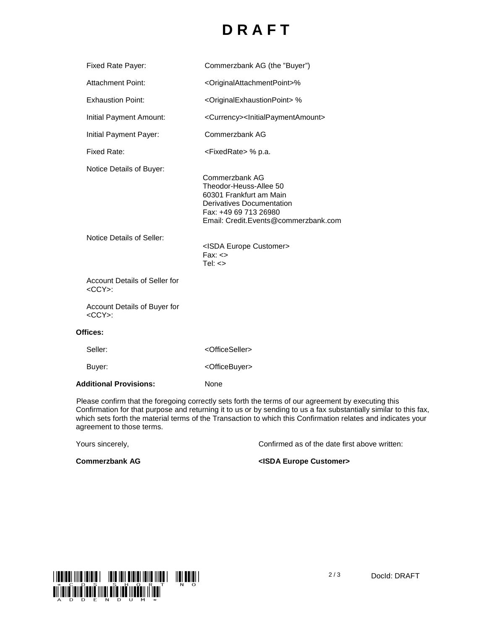| Fixed Rate Payer:                              | Commerzbank AG (the "Buyer")                                                                                                                                       |
|------------------------------------------------|--------------------------------------------------------------------------------------------------------------------------------------------------------------------|
| <b>Attachment Point:</b>                       | <originalattachmentpoint>%</originalattachmentpoint>                                                                                                               |
| <b>Exhaustion Point:</b>                       | <originalexhaustionpoint> %</originalexhaustionpoint>                                                                                                              |
| Initial Payment Amount:                        | <currency><initialpaymentamount></initialpaymentamount></currency>                                                                                                 |
| Initial Payment Payer:                         | Commerzbank AG                                                                                                                                                     |
| <b>Fixed Rate:</b>                             | <fixedrate> % p.a.</fixedrate>                                                                                                                                     |
| Notice Details of Buyer:                       | Commerzbank AG<br>Theodor-Heuss-Allee 50<br>60301 Frankfurt am Main<br>Derivatives Documentation<br>Fax: +49 69 713 26980<br>Email: Credit. Events@commerzbank.com |
| <b>Notice Details of Seller:</b>               | <isda customer="" europe=""><br/><math>Fax: \leq</math><br/>Tel: &lt;</isda>                                                                                       |
| Account Details of Seller for<br>$<$ CCY $>$ : |                                                                                                                                                                    |
| Account Details of Buyer for<br>$<$ CCY $>$ :  |                                                                                                                                                                    |
| Offices:                                       |                                                                                                                                                                    |
| Seller:                                        | <officeseller></officeseller>                                                                                                                                      |
| Buyer:                                         | <officebuyer></officebuyer>                                                                                                                                        |
| <b>Additional Provisions:</b>                  | None                                                                                                                                                               |
|                                                |                                                                                                                                                                    |

Please confirm that the foregoing correctly sets forth the terms of our agreement by executing this Confirmation for that purpose and returning it to us or by sending to us a fax substantially similar to this fax, which sets forth the material terms of the Transaction to which this Confirmation relates and indicates your agreement to those terms.

Yours sincerely, The continue of the date first above written:

**Commerzbank AG <ISDA Europe Customer>** 

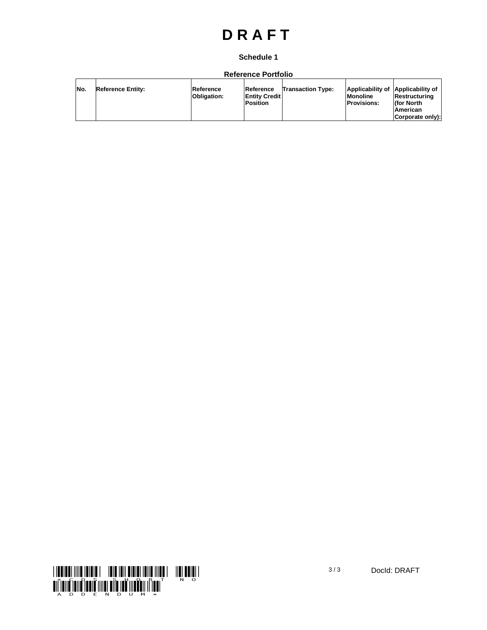#### **Schedule 1**

#### **Reference Portfolio**

| No. | <b>Reference Entity:</b> | <b>Reference</b><br><b>Obligation:</b> | <b>Reference</b><br><b>Entity Credit</b><br>Position | <b>Transaction Type:</b> | Applicability of Applicability of<br><b>Monoline</b><br><b>Provisions:</b> | <b>Restructuring</b><br>for North<br>American<br>Corporate only): |
|-----|--------------------------|----------------------------------------|------------------------------------------------------|--------------------------|----------------------------------------------------------------------------|-------------------------------------------------------------------|
|-----|--------------------------|----------------------------------------|------------------------------------------------------|--------------------------|----------------------------------------------------------------------------|-------------------------------------------------------------------|

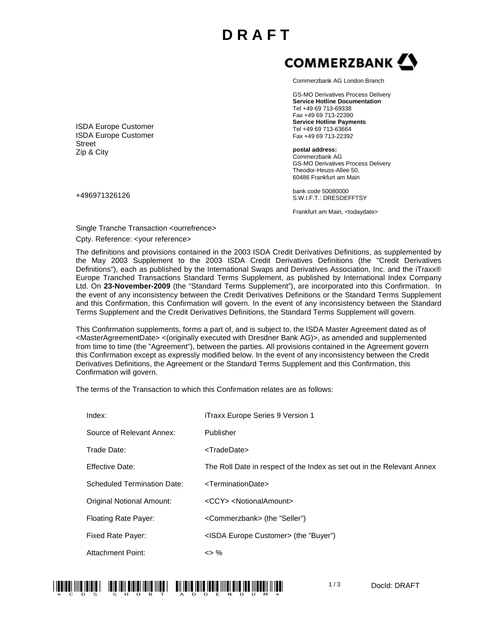

Commerzbank AG London Branch

GS-MO Derivatives Process Delivery **Service Hotline Documentation**  Tel +49 69 713-69338 Fax +49 69 713-22390 **Service Hotline Payments**  Tel +49 69 713-63664 Fax +49 69 713-22392

#### **postal address:**

Commerzbank AG GS-MO Derivatives Process Delivery Theodor-Heuss-Allee 50, 60486 Frankfurt am Main

bank code 50080000 S.W.I.F.T.: DRESDEFFTSY

Frankfurt am Main, <todaydate>

ISDA Europe Customer ISDA Europe Customer Street Zip & City

+496971326126

Single Tranche Transaction <ourrefrence> Cpty. Reference: <your reference>

The definitions and provisions contained in the 2003 ISDA Credit Derivatives Definitions, as supplemented by the May 2003 Supplement to the 2003 ISDA Credit Derivatives Definitions (the "Credit Derivatives Definitions"), each as published by the International Swaps and Derivatives Association, Inc. and the iTraxx® Europe Tranched Transactions Standard Terms Supplement, as published by International Index Company Ltd. On **23-November-2009** (the "Standard Terms Supplement"), are incorporated into this Confirmation. In the event of any inconsistency between the Credit Derivatives Definitions or the Standard Terms Supplement and this Confirmation, this Confirmation will govern. In the event of any inconsistency between the Standard Terms Supplement and the Credit Derivatives Definitions, the Standard Terms Supplement will govern.

This Confirmation supplements, forms a part of, and is subject to, the ISDA Master Agreement dated as of <MasterAgreementDate> <(originally executed with Dresdner Bank AG)>, as amended and supplemented from time to time (the "Agreement"), between the parties. All provisions contained in the Agreement govern this Confirmation except as expressly modified below. In the event of any inconsistency between the Credit Derivatives Definitions, the Agreement or the Standard Terms Supplement and this Confirmation, this Confirmation will govern.

The terms of the Transaction to which this Confirmation relates are as follows:

| Index:                             | <b>iTraxx Europe Series 9 Version 1</b>                                |
|------------------------------------|------------------------------------------------------------------------|
| Source of Relevant Annex:          | Publisher                                                              |
| Trade Date:                        | <tradedate></tradedate>                                                |
| <b>Effective Date:</b>             | The Roll Date in respect of the Index as set out in the Relevant Annex |
| <b>Scheduled Termination Date:</b> | <terminationdate></terminationdate>                                    |
| Original Notional Amount:          | <ccy> <notionalamount></notionalamount></ccy>                          |
| <b>Floating Rate Payer:</b>        | <commerzbank> (the "Seller")</commerzbank>                             |
| Fixed Rate Payer:                  | <isda customer="" europe=""> (the "Buyer")</isda>                      |
| <b>Attachment Point:</b>           | $\ll$ %                                                                |

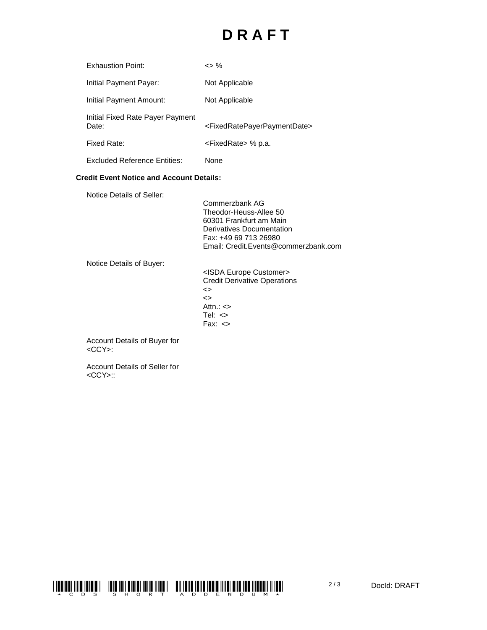| <b>Exhaustion Point:</b>                  | $>> \%$                                                 |
|-------------------------------------------|---------------------------------------------------------|
| Initial Payment Payer:                    | Not Applicable                                          |
| Initial Payment Amount:                   | Not Applicable                                          |
| Initial Fixed Rate Payer Payment<br>Date: | <fixedratepayerpaymentdate></fixedratepayerpaymentdate> |
| Fixed Rate:                               | <fixedrate> % p.a.</fixedrate>                          |
| Excluded Reference Entities:              | <b>None</b>                                             |

#### **Credit Event Notice and Account Details:**

Notice Details of Seller:

 Commerzbank AG Theodor-Heuss-Allee 50 60301 Frankfurt am Main Derivatives Documentation Fax: +49 69 713 26980 Email: Credit.Events@commerzbank.com

Notice Details of Buyer:

 <ISDA Europe Customer> Credit Derivative Operations  $\iff$   $\iff$   $\iff$   $\iff$  $\iff$   $\iff$   $\iff$   $\iff$  Attn.: <> Tel:  $\lt$ Fax: <>

Account Details of Buyer for <CCY>:

Account Details of Seller for <CCY>::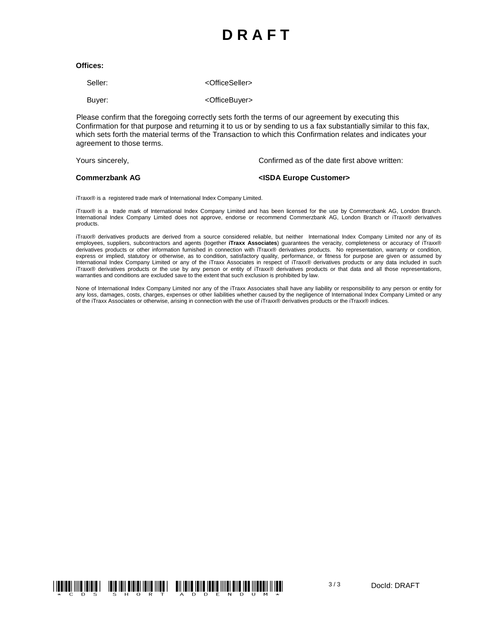#### **Offices:**

| Seller: | <officeseller></officeseller> |
|---------|-------------------------------|
| Buyer:  | <officebuyer></officebuyer>   |

Please confirm that the foregoing correctly sets forth the terms of our agreement by executing this Confirmation for that purpose and returning it to us or by sending to us a fax substantially similar to this fax, which sets forth the material terms of the Transaction to which this Confirmation relates and indicates your agreement to those terms.

Yours sincerely, The Confirmed as of the date first above written:

### **Commerzbank AG <ISDA Europe Customer>**

iTraxx® is a registered trade mark of International Index Company Limited.

iTraxx® is a trade mark of International Index Company Limited and has been licensed for the use by Commerzbank AG, London Branch. International Index Company Limited does not approve, endorse or recommend Commerzbank AG, London Branch or iTraxx® derivatives products.

iTraxx® derivatives products are derived from a source considered reliable, but neither International Index Company Limited nor any of its employees, suppliers, subcontractors and agents (together **iTraxx Associates**) guarantees the veracity, completeness or accuracy of iTraxx® derivatives products or other information furnished in connection with iTraxx® derivatives products. No representation, warranty or condition, express or implied, statutory or otherwise, as to condition, satisfactory quality, performance, or fitness for purpose are given or assumed by International Index Company Limited or any of the iTraxx Associates in respect of iTraxx® derivatives products or any data included in such iTraxx® derivatives products or the use by any person or entity of iTraxx® derivatives products or that data and all those representations, warranties and conditions are excluded save to the extent that such exclusion is prohibited by law.

None of International Index Company Limited nor any of the iTraxx Associates shall have any liability or responsibility to any person or entity for any loss, damages, costs, charges, expenses or other liabilities whether caused by the negligence of International Index Company Limited or any of the iTraxx Associates or otherwise, arising in connection with the use of iTraxx® derivatives products or the iTraxx® indices.

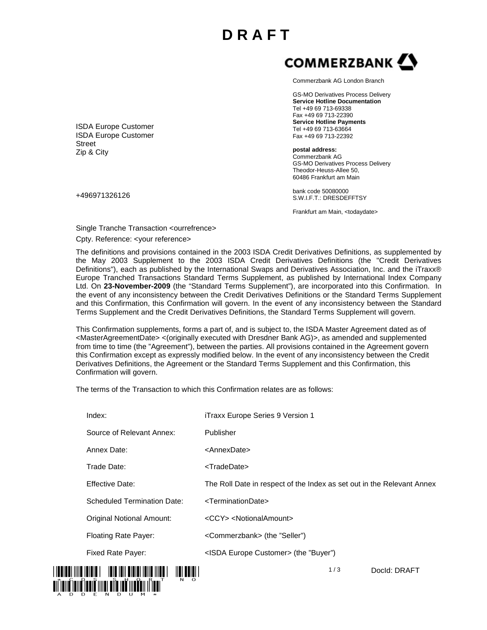

Commerzbank AG London Branch

GS-MO Derivatives Process Delivery **Service Hotline Documentation**  Tel +49 69 713-69338 Fax +49 69 713-22390 **Service Hotline Payments**  Tel +49 69 713-63664 Fax +49 69 713-22392

#### **postal address:**

Commerzbank AG GS-MO Derivatives Process Delivery Theodor-Heuss-Allee 50, 60486 Frankfurt am Main

bank code 50080000 S.W.I.F.T.: DRESDEFFTSY

Frankfurt am Main, <todaydate>

ISDA Europe Customer ISDA Europe Customer Street Zip & City

+496971326126

Single Tranche Transaction <ourrefrence> Cpty. Reference: <your reference>

The definitions and provisions contained in the 2003 ISDA Credit Derivatives Definitions, as supplemented by the May 2003 Supplement to the 2003 ISDA Credit Derivatives Definitions (the "Credit Derivatives Definitions"), each as published by the International Swaps and Derivatives Association, Inc. and the iTraxx® Europe Tranched Transactions Standard Terms Supplement, as published by International Index Company Ltd. On **23-November-2009** (the "Standard Terms Supplement"), are incorporated into this Confirmation. In the event of any inconsistency between the Credit Derivatives Definitions or the Standard Terms Supplement and this Confirmation, this Confirmation will govern. In the event of any inconsistency between the Standard Terms Supplement and the Credit Derivatives Definitions, the Standard Terms Supplement will govern.

This Confirmation supplements, forms a part of, and is subject to, the ISDA Master Agreement dated as of <MasterAgreementDate> <(originally executed with Dresdner Bank AG)>, as amended and supplemented from time to time (the "Agreement"), between the parties. All provisions contained in the Agreement govern this Confirmation except as expressly modified below. In the event of any inconsistency between the Credit Derivatives Definitions, the Agreement or the Standard Terms Supplement and this Confirmation, this Confirmation will govern.

The terms of the Transaction to which this Confirmation relates are as follows:

| Index:                             | iTraxx Europe Series 9 Version 1                                       |
|------------------------------------|------------------------------------------------------------------------|
| Source of Relevant Annex:          | Publisher                                                              |
| Annex Date:                        | <annexdate></annexdate>                                                |
| Trade Date:                        | <tradedate></tradedate>                                                |
| <b>Effective Date:</b>             | The Roll Date in respect of the Index as set out in the Relevant Annex |
| <b>Scheduled Termination Date:</b> | <terminationdate></terminationdate>                                    |
| Original Notional Amount:          | <ccy> <notionalamount></notionalamount></ccy>                          |
| Floating Rate Payer:               | <commerzbank> (the "Seller")</commerzbank>                             |
| <b>Fixed Rate Payer:</b>           | <isda customer="" europe=""> (the "Buyer")</isda>                      |



1/3 Docld: DRAFT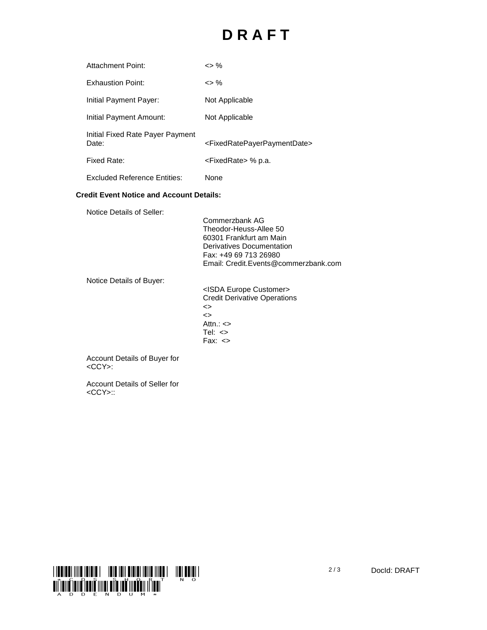| Attachment Point:                         | $>> \%$                                                 |
|-------------------------------------------|---------------------------------------------------------|
| Exhaustion Point:                         | $\ll$ %                                                 |
| Initial Payment Payer:                    | Not Applicable                                          |
| Initial Payment Amount:                   | Not Applicable                                          |
| Initial Fixed Rate Payer Payment<br>Date: | <fixedratepayerpaymentdate></fixedratepayerpaymentdate> |
| Fixed Rate:                               | <fixedrate> % p.a.</fixedrate>                          |
| Excluded Reference Entities:              | None                                                    |
|                                           |                                                         |

#### **Credit Event Notice and Account Details:**

Notice Details of Seller:

 Commerzbank AG Theodor-Heuss-Allee 50 60301 Frankfurt am Main Derivatives Documentation Fax: +49 69 713 26980 Email: Credit.Events@commerzbank.com

Notice Details of Buyer:

 <ISDA Europe Customer> Credit Derivative Operations  $\begin{picture}(20,20) \put(0,0){\line(1,0){10}} \put(15,0){\line(1,0){10}} \put(15,0){\line(1,0){10}} \put(15,0){\line(1,0){10}} \put(15,0){\line(1,0){10}} \put(15,0){\line(1,0){10}} \put(15,0){\line(1,0){10}} \put(15,0){\line(1,0){10}} \put(15,0){\line(1,0){10}} \put(15,0){\line(1,0){10}} \put(15,0){\line(1,0){10}} \put(15,0){\line(1$  $\iff$   $\iff$   $\iff$   $\iff$  Attn.: <> Tel:  $\lt$ Fax: <>

Account Details of Buyer for <CCY>:

Account Details of Seller for <CCY>::

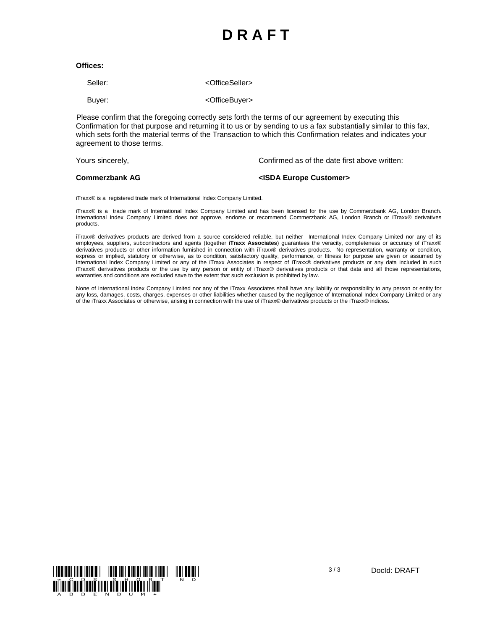#### **Offices:**

| Seller: | <officeseller></officeseller> |
|---------|-------------------------------|
| Buyer:  | <officebuyer></officebuyer>   |

Please confirm that the foregoing correctly sets forth the terms of our agreement by executing this Confirmation for that purpose and returning it to us or by sending to us a fax substantially similar to this fax, which sets forth the material terms of the Transaction to which this Confirmation relates and indicates your agreement to those terms.

Yours sincerely, The Confirmed as of the date first above written:

### **Commerzbank AG <ISDA Europe Customer>**

iTraxx® is a registered trade mark of International Index Company Limited.

iTraxx® is a trade mark of International Index Company Limited and has been licensed for the use by Commerzbank AG, London Branch. International Index Company Limited does not approve, endorse or recommend Commerzbank AG, London Branch or iTraxx® derivatives products.

iTraxx® derivatives products are derived from a source considered reliable, but neither International Index Company Limited nor any of its employees, suppliers, subcontractors and agents (together **iTraxx Associates**) guarantees the veracity, completeness or accuracy of iTraxx® derivatives products or other information furnished in connection with iTraxx® derivatives products. No representation, warranty or condition, express or implied, statutory or otherwise, as to condition, satisfactory quality, performance, or fitness for purpose are given or assumed by International Index Company Limited or any of the iTraxx Associates in respect of iTraxx® derivatives products or any data included in such iTraxx® derivatives products or the use by any person or entity of iTraxx® derivatives products or that data and all those representations, warranties and conditions are excluded save to the extent that such exclusion is prohibited by law.

None of International Index Company Limited nor any of the iTraxx Associates shall have any liability or responsibility to any person or entity for any loss, damages, costs, charges, expenses or other liabilities whether caused by the negligence of International Index Company Limited or any of the iTraxx Associates or otherwise, arising in connection with the use of iTraxx® derivatives products or the iTraxx® indices.

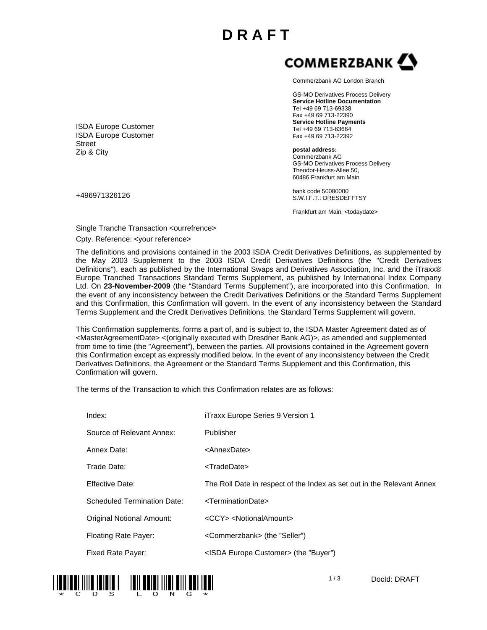

Commerzbank AG London Branch

GS-MO Derivatives Process Delivery **Service Hotline Documentation**  Tel +49 69 713-69338 Fax +49 69 713-22390 **Service Hotline Payments**  Tel +49 69 713-63664 Fax +49 69 713-22392

#### **postal address:**

Commerzbank AG GS-MO Derivatives Process Delivery Theodor-Heuss-Allee 50, 60486 Frankfurt am Main

bank code 50080000 S.W.I.F.T.: DRESDEFFTSY

Frankfurt am Main, <todaydate>

ISDA Europe Customer ISDA Europe Customer Street Zip & City

+496971326126

Single Tranche Transaction <ourrefrence> Cpty. Reference: <your reference>

The definitions and provisions contained in the 2003 ISDA Credit Derivatives Definitions, as supplemented by the May 2003 Supplement to the 2003 ISDA Credit Derivatives Definitions (the "Credit Derivatives Definitions"), each as published by the International Swaps and Derivatives Association, Inc. and the iTraxx® Europe Tranched Transactions Standard Terms Supplement, as published by International Index Company Ltd. On **23-November-2009** (the "Standard Terms Supplement"), are incorporated into this Confirmation. In the event of any inconsistency between the Credit Derivatives Definitions or the Standard Terms Supplement and this Confirmation, this Confirmation will govern. In the event of any inconsistency between the Standard Terms Supplement and the Credit Derivatives Definitions, the Standard Terms Supplement will govern.

This Confirmation supplements, forms a part of, and is subject to, the ISDA Master Agreement dated as of <MasterAgreementDate> <(originally executed with Dresdner Bank AG)>, as amended and supplemented from time to time (the "Agreement"), between the parties. All provisions contained in the Agreement govern this Confirmation except as expressly modified below. In the event of any inconsistency between the Credit Derivatives Definitions, the Agreement or the Standard Terms Supplement and this Confirmation, this Confirmation will govern.

The terms of the Transaction to which this Confirmation relates are as follows:

| Index:                             | iTraxx Europe Series 9 Version 1                                       |
|------------------------------------|------------------------------------------------------------------------|
| Source of Relevant Annex:          | Publisher                                                              |
| Annex Date:                        | <annexdate></annexdate>                                                |
| Trade Date:                        | <tradedate></tradedate>                                                |
| <b>Effective Date:</b>             | The Roll Date in respect of the Index as set out in the Relevant Annex |
| <b>Scheduled Termination Date:</b> | <terminationdate></terminationdate>                                    |
| Original Notional Amount:          | <ccy> <notionalamount></notionalamount></ccy>                          |
| <b>Floating Rate Payer:</b>        | <commerzbank> (the "Seller")</commerzbank>                             |
| <b>Fixed Rate Payer:</b>           | <isda customer="" europe=""> (the "Buyer")</isda>                      |

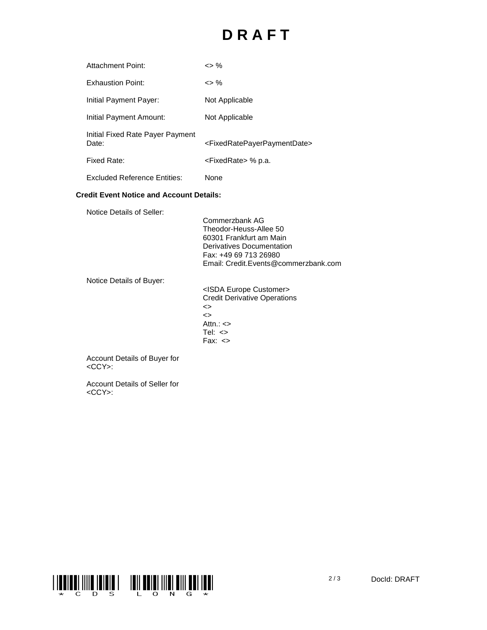| Attachment Point:                         | $>> \%$                                                 |
|-------------------------------------------|---------------------------------------------------------|
| Exhaustion Point:                         | $>>$ %                                                  |
| Initial Payment Payer:                    | Not Applicable                                          |
| Initial Payment Amount:                   | Not Applicable                                          |
| Initial Fixed Rate Payer Payment<br>Date: | <fixedratepayerpaymentdate></fixedratepayerpaymentdate> |
| Fixed Rate:                               | <fixedrate> % p.a.</fixedrate>                          |
| Excluded Reference Entities:              | None                                                    |
|                                           |                                                         |

#### **Credit Event Notice and Account Details:**

Notice Details of Seller:

 Commerzbank AG Theodor-Heuss-Allee 50 60301 Frankfurt am Main Derivatives Documentation Fax: +49 69 713 26980 Email: Credit.Events@commerzbank.com

Notice Details of Buyer:

 <ISDA Europe Customer> Credit Derivative Operations  $\langle \cdot \rangle$  and  $\langle \cdot \rangle$  and  $\langle \cdot \rangle$  $\iff$   $\iff$   $\iff$   $\iff$  Attn.: <> Tel:  $\langle \rangle$ Fax: <>

Account Details of Buyer for <CCY>:

Account Details of Seller for <CCY>: